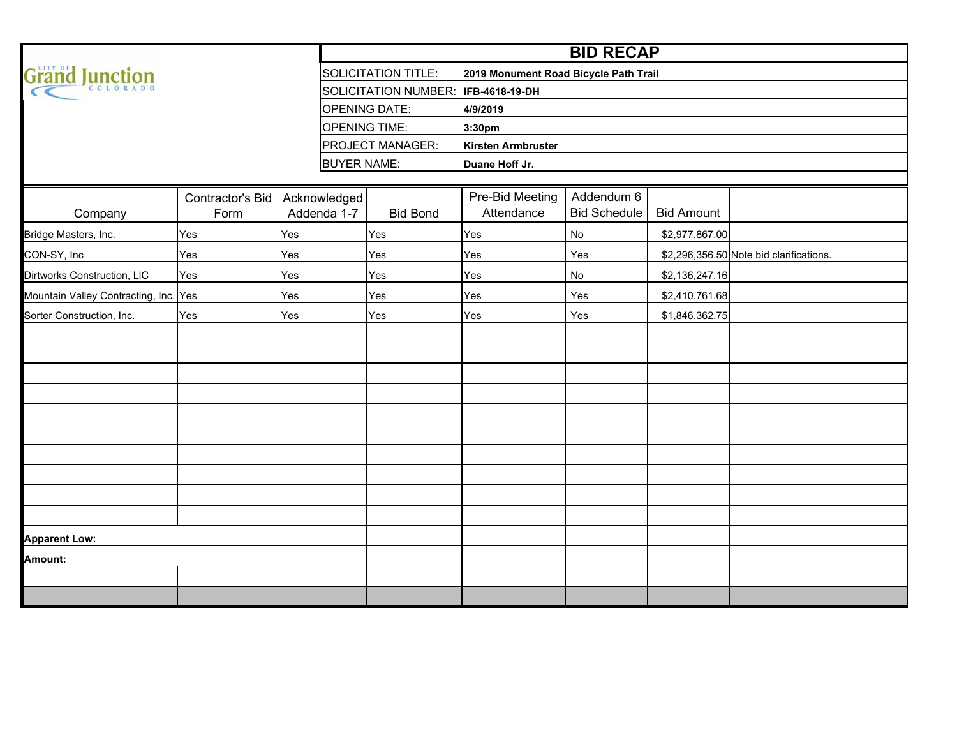|                                       |                          |                             |                                     |                                       | <b>BID RECAP</b>                  |                   |                                         |
|---------------------------------------|--------------------------|-----------------------------|-------------------------------------|---------------------------------------|-----------------------------------|-------------------|-----------------------------------------|
| Grand Junction                        |                          |                             | <b>SOLICITATION TITLE:</b>          | 2019 Monument Road Bicycle Path Trail |                                   |                   |                                         |
|                                       |                          |                             | SOLICITATION NUMBER: IFB-4618-19-DH |                                       |                                   |                   |                                         |
|                                       |                          |                             | <b>OPENING DATE:</b>                | 4/9/2019                              |                                   |                   |                                         |
|                                       |                          |                             | <b>OPENING TIME:</b>                | 3:30pm                                |                                   |                   |                                         |
|                                       |                          |                             | PROJECT MANAGER:                    | <b>Kirsten Armbruster</b>             |                                   |                   |                                         |
|                                       |                          | <b>BUYER NAME:</b>          |                                     | Duane Hoff Jr.                        |                                   |                   |                                         |
|                                       |                          |                             |                                     |                                       |                                   |                   |                                         |
| Company                               | Contractor's Bid<br>Form | Acknowledged<br>Addenda 1-7 | <b>Bid Bond</b>                     | Pre-Bid Meeting<br>Attendance         | Addendum 6<br><b>Bid Schedule</b> | <b>Bid Amount</b> |                                         |
| Bridge Masters, Inc.                  | Yes                      | Yes                         | Yes                                 | Yes                                   | No                                | \$2,977,867.00    |                                         |
| CON-SY, Inc                           | Yes                      | Yes                         | Yes                                 | Yes                                   | Yes                               |                   | \$2,296,356.50 Note bid clarifications. |
| Dirtworks Construction, LIC           | Yes                      | Yes                         | Yes                                 | Yes                                   | No                                | \$2,136,247.16    |                                         |
| Mountain Valley Contracting, Inc. Yes |                          | Yes                         | Yes                                 | Yes                                   | Yes                               | \$2,410,761.68    |                                         |
| Sorter Construction, Inc.             | Yes                      | Yes                         | Yes                                 | Yes                                   | Yes                               | \$1,846,362.75    |                                         |
|                                       |                          |                             |                                     |                                       |                                   |                   |                                         |
|                                       |                          |                             |                                     |                                       |                                   |                   |                                         |
|                                       |                          |                             |                                     |                                       |                                   |                   |                                         |
|                                       |                          |                             |                                     |                                       |                                   |                   |                                         |
|                                       |                          |                             |                                     |                                       |                                   |                   |                                         |
|                                       |                          |                             |                                     |                                       |                                   |                   |                                         |
|                                       |                          |                             |                                     |                                       |                                   |                   |                                         |
|                                       |                          |                             |                                     |                                       |                                   |                   |                                         |
|                                       |                          |                             |                                     |                                       |                                   |                   |                                         |
|                                       |                          |                             |                                     |                                       |                                   |                   |                                         |
| <b>Apparent Low:</b>                  |                          |                             |                                     |                                       |                                   |                   |                                         |
| Amount:                               |                          |                             |                                     |                                       |                                   |                   |                                         |
|                                       |                          |                             |                                     |                                       |                                   |                   |                                         |
|                                       |                          |                             |                                     |                                       |                                   |                   |                                         |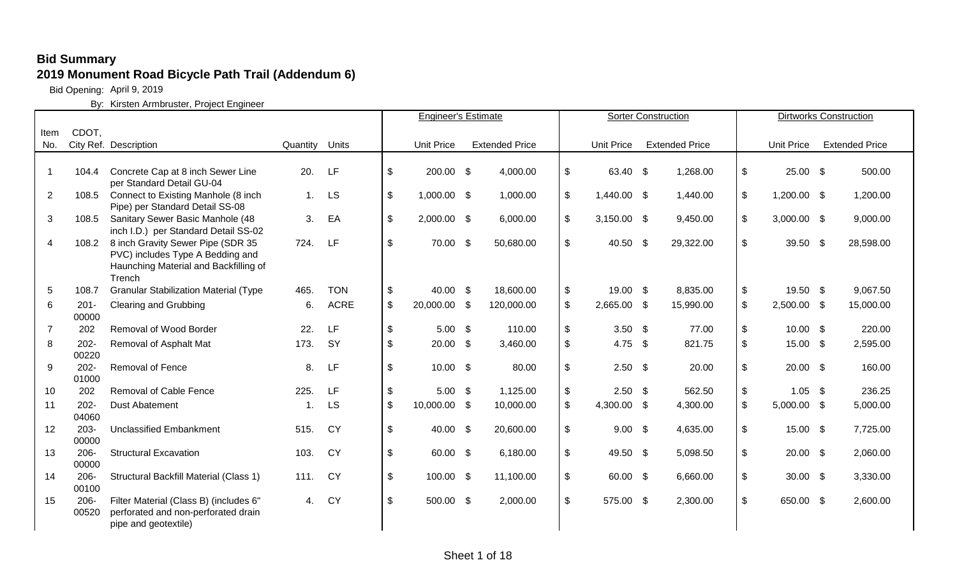Bid Opening: April 9, 2019

|                |                  |                                                                        |             |             |                           | <b>Engineer's Estimate</b> |                       |                           |                | <b>Sorter Construction</b> |                           |                   | <b>Dirtworks Construction</b> |
|----------------|------------------|------------------------------------------------------------------------|-------------|-------------|---------------------------|----------------------------|-----------------------|---------------------------|----------------|----------------------------|---------------------------|-------------------|-------------------------------|
| Item           | CDOT,            |                                                                        |             |             |                           |                            |                       |                           |                |                            |                           |                   |                               |
| No.            |                  | City Ref. Description                                                  | Quantity    | Units       |                           | <b>Unit Price</b>          | <b>Extended Price</b> |                           | Unit Price     | <b>Extended Price</b>      |                           | <b>Unit Price</b> | <b>Extended Price</b>         |
|                |                  |                                                                        |             |             |                           |                            |                       |                           |                |                            |                           |                   |                               |
| $\overline{1}$ | 104.4            | Concrete Cap at 8 inch Sewer Line                                      | 20.         | LF          | \$                        | 200.00 \$                  | 4,000.00              | $\boldsymbol{\mathsf{S}}$ | 63.40 \$       | 1,268.00                   | $\boldsymbol{\mathsf{S}}$ | $25.00$ \$        | 500.00                        |
|                |                  | per Standard Detail GU-04                                              |             |             |                           |                            |                       |                           |                |                            |                           |                   |                               |
| $\overline{2}$ | 108.5            | Connect to Existing Manhole (8 inch<br>Pipe) per Standard Detail SS-08 | 1.          | LS          | $\boldsymbol{\mathsf{S}}$ | 1,000.00 \$                | 1,000.00              | $\mathfrak{S}$            | 1,440.00 \$    | 1,440.00                   | $\boldsymbol{\mathsf{S}}$ | $1,200.00$ \$     | 1,200.00                      |
| 3              | 108.5            | Sanitary Sewer Basic Manhole (48                                       | 3.          | EA          | $\mathfrak{S}$            | $2,000.00$ \$              | 6,000.00              | \$                        | $3,150.00$ \$  | 9,450.00                   | $\sqrt[6]{\frac{1}{2}}$   | $3,000.00$ \$     | 9,000.00                      |
|                | 108.2            | inch I.D.) per Standard Detail SS-02                                   | 724.        | LF          | \$                        | 70.00 \$                   | 50,680.00             | \$                        | 40.50 \$       |                            | $\boldsymbol{\mathsf{S}}$ | 39.50 \$          |                               |
| 4              |                  | 8 inch Gravity Sewer Pipe (SDR 35<br>PVC) includes Type A Bedding and  |             |             |                           |                            |                       |                           |                | 29,322.00                  |                           |                   | 28,598.00                     |
|                |                  | Haunching Material and Backfilling of<br>Trench                        |             |             |                           |                            |                       |                           |                |                            |                           |                   |                               |
| 5              | 108.7            | <b>Granular Stabilization Material (Type</b>                           | 465.        | <b>TON</b>  | \$                        | 40.00 \$                   | 18,600.00             | \$                        | 19.00 \$       | 8,835.00                   | $\sqrt[6]{3}$             | 19.50 \$          | 9,067.50                      |
| 6              | $201 -$          | <b>Clearing and Grubbing</b>                                           | 6.          | <b>ACRE</b> | \$                        | 20,000.00 \$               | 120,000.00            | \$                        | 2,665.00 \$    | 15,990.00                  | $\mathfrak{S}$            | 2,500.00 \$       | 15,000.00                     |
|                | 00000            |                                                                        |             |             |                           |                            |                       |                           |                |                            |                           |                   |                               |
| $\overline{7}$ | 202              | Removal of Wood Border                                                 | 22.         | LF          | \$                        | $5.00$ \$                  | 110.00                | $\mathfrak{S}$            | $3.50$ \$      | 77.00                      | $\sqrt[6]{\frac{1}{2}}$   | $10.00$ \$        | 220.00                        |
| 8              | $202 -$          | Removal of Asphalt Mat                                                 | 173.        | <b>SY</b>   | \$                        | $20.00\quad$ \$            | 3,460.00              | \$                        | 4.75 $$$       | 821.75                     | $\boldsymbol{\mathsf{S}}$ | 15.00 \$          | 2,595.00                      |
|                | 00220            |                                                                        |             |             |                           |                            |                       |                           |                |                            |                           |                   |                               |
| 9              | $202 -$          | Removal of Fence                                                       | 8.          | LF          | \$                        | $10.00$ \$                 | 80.00                 | $\mathfrak{S}$            | $2.50$ \$      | 20.00                      | \$                        | $20.00\quad$ \$   | 160.00                        |
|                | 01000            |                                                                        |             |             |                           |                            |                       |                           |                |                            |                           |                   |                               |
| 10             | 202              | Removal of Cable Fence                                                 | 225.        | LF          | \$                        | $5.00$ \$                  | 1,125.00              | $\frac{1}{2}$             | $2.50$ \$      | 562.50                     | $\boldsymbol{\mathsf{S}}$ | $1.05$ \$         | 236.25                        |
| 11             | $202 -$          | <b>Dust Abatement</b>                                                  | $\mathbf 1$ | LS          | $\boldsymbol{\mathsf{S}}$ | 10,000.00 \$               | 10,000.00             | $\mathfrak{S}$            | 4,300.00 \$    | 4,300.00                   | $\boldsymbol{\mathsf{S}}$ | $5,000.00$ \$     | 5,000.00                      |
|                | 04060            |                                                                        |             |             |                           |                            |                       |                           |                |                            |                           |                   |                               |
| 12             | $203 -$<br>00000 | <b>Unclassified Embankment</b>                                         | 515.        | <b>CY</b>   | \$                        | 40.00 \$                   | 20,600.00             | \$                        | $9.00\quad$ \$ | 4,635.00                   | $\boldsymbol{\mathsf{S}}$ | $15.00$ \$        | 7,725.00                      |
| 13             | $206 -$          | <b>Structural Excavation</b>                                           | 103.        | <b>CY</b>   | \$                        | 60.00 \$                   | 6,180.00              | \$                        | 49.50 \$       | 5,098.50                   | $\boldsymbol{\mathsf{S}}$ | $20.00\quad$ \$   | 2,060.00                      |
|                | 00000            |                                                                        |             |             |                           |                            |                       |                           |                |                            |                           |                   |                               |
| 14             | 206-             | Structural Backfill Material (Class 1)                                 | 111.        | <b>CY</b>   | \$                        | 100.00 \$                  | 11,100.00             | \$                        | 60.00 \$       | 6,660.00                   | $\mathfrak{L}$            | $30.00\quad$ \$   | 3,330.00                      |
|                | 00100            |                                                                        |             |             |                           |                            |                       |                           |                |                            |                           |                   |                               |
| 15             | $206 -$          | Filter Material (Class B) (includes 6"                                 | 4.          | <b>CY</b>   | \$                        | 500.00 \$                  | 2,000.00              | $\boldsymbol{\mathsf{S}}$ | 575.00 \$      | 2,300.00                   | \$                        | 650.00 \$         | 2,600.00                      |
|                | 00520            | perforated and non-perforated drain                                    |             |             |                           |                            |                       |                           |                |                            |                           |                   |                               |
|                |                  | pipe and geotextile)                                                   |             |             |                           |                            |                       |                           |                |                            |                           |                   |                               |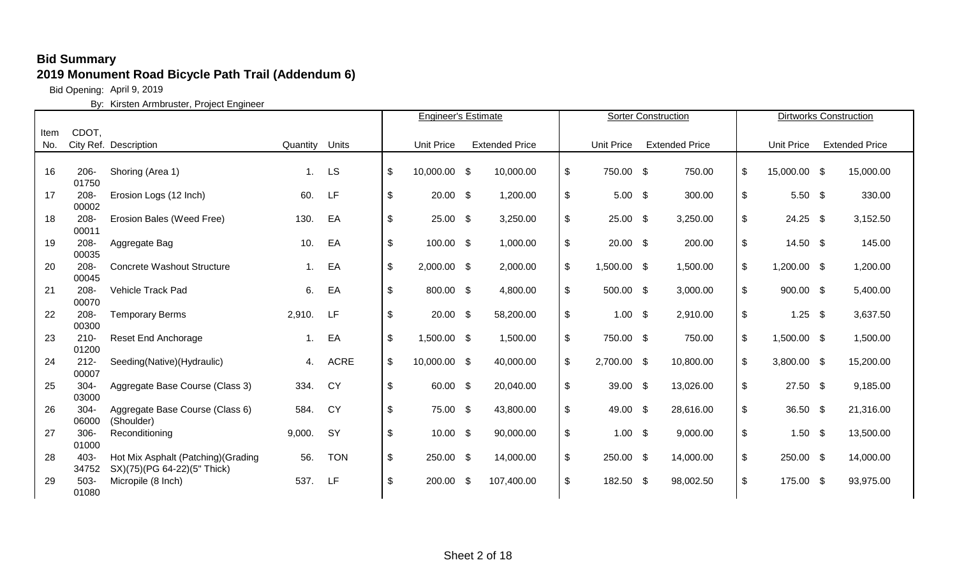Bid Opening: April 9, 2019

|      |               |                                     |          |             |                           | <b>Engineer's Estimate</b> |     |                       |                   | <b>Sorter Construction</b> |                    | <b>Dirtworks Construction</b> |
|------|---------------|-------------------------------------|----------|-------------|---------------------------|----------------------------|-----|-----------------------|-------------------|----------------------------|--------------------|-------------------------------|
| Item | CDOT,         |                                     |          |             |                           |                            |     |                       |                   |                            |                    |                               |
| No.  |               | City Ref. Description               | Quantity | Units       |                           | <b>Unit Price</b>          |     | <b>Extended Price</b> | <b>Unit Price</b> | <b>Extended Price</b>      | <b>Unit Price</b>  | <b>Extended Price</b>         |
|      |               |                                     |          |             |                           |                            |     |                       |                   |                            |                    |                               |
| 16   | $206 -$       | Shoring (Area 1)                    | 1.       | <b>LS</b>   | $\boldsymbol{\mathsf{S}}$ | 10,000.00 \$               |     | 10,000.00             | \$<br>750.00 \$   | 750.00                     | \$<br>15,000.00 \$ | 15,000.00                     |
|      | 01750         |                                     |          |             |                           |                            |     |                       |                   |                            |                    |                               |
| 17   | 208-          | Erosion Logs (12 Inch)              | 60.      | LF          | $\sqrt[6]{\frac{1}{2}}$   | $20.00$ \$                 |     | 1,200.00              | \$<br>$5.00$ \$   | 300.00                     | \$<br>$5.50$ \$    | 330.00                        |
|      | 00002         |                                     |          |             |                           |                            |     |                       |                   |                            |                    |                               |
| 18   | 208-          | Erosion Bales (Weed Free)           | 130.     | EA          | \$                        | $25.00$ \$                 |     | 3,250.00              | \$<br>$25.00$ \$  | 3,250.00                   | \$<br>$24.25$ \$   | 3,152.50                      |
|      | 00011         |                                     |          |             |                           |                            |     |                       |                   |                            |                    |                               |
| 19   | 208-          | Aggregate Bag                       | 10.      | EA          | \$                        | 100.00 \$                  |     | 1,000.00              | \$<br>$20.00$ \$  | 200.00                     | \$<br>$14.50$ \$   | 145.00                        |
|      | 00035         |                                     |          |             |                           |                            |     |                       |                   |                            |                    |                               |
| 20   | $208 -$       | <b>Concrete Washout Structure</b>   | 1.       | EA          | $\frac{1}{2}$             | $2,000.00$ \$              |     | 2,000.00              | \$<br>1,500.00 \$ | 1,500.00                   | \$<br>1,200.00 \$  | 1,200.00                      |
|      | 00045         |                                     |          |             |                           |                            |     |                       |                   |                            |                    |                               |
| 21   | $208 -$       | Vehicle Track Pad                   | 6.       | EA          | \$                        | 800.00 \$                  |     | 4,800.00              | \$<br>500.00 \$   | 3,000.00                   | \$<br>900.00 \$    | 5,400.00                      |
| 22   | 00070<br>208- | <b>Temporary Berms</b>              | 2,910.   | LF          | \$                        | $20.00$ \$                 |     | 58,200.00             | \$<br>$1.00$ \$   | 2,910.00                   | \$<br>$1.25$ \$    | 3,637.50                      |
|      | 00300         |                                     |          |             |                           |                            |     |                       |                   |                            |                    |                               |
| 23   | $210 -$       | <b>Reset End Anchorage</b>          | 1.       | EA          | $\$\$                     | 1,500.00 \$                |     | 1,500.00              | \$<br>750.00 \$   | 750.00                     | \$<br>1,500.00 \$  | 1,500.00                      |
|      | 01200         |                                     |          |             |                           |                            |     |                       |                   |                            |                    |                               |
| 24   | $212 -$       | Seeding(Native)(Hydraulic)          | 4.       | <b>ACRE</b> | $\sqrt[6]{2}$             | 10,000.00 \$               |     | 40,000.00             | \$<br>2,700.00 \$ | 10,800.00                  | \$<br>3,800.00 \$  | 15,200.00                     |
|      | 00007         |                                     |          |             |                           |                            |     |                       |                   |                            |                    |                               |
| 25   | $304 -$       | Aggregate Base Course (Class 3)     | 334.     | CY          | \$                        | 60.00 \$                   |     | 20,040.00             | \$<br>39.00 $$$   | 13,026.00                  | \$<br>$27.50$ \$   | 9,185.00                      |
|      | 03000         |                                     |          |             |                           |                            |     |                       |                   |                            |                    |                               |
| 26   | $304 -$       | Aggregate Base Course (Class 6)     | 584.     | CY          | $\mathfrak{L}$            | 75.00 \$                   |     | 43,800.00             | \$<br>49.00 \$    | 28,616.00                  | \$<br>36.50 \$     | 21,316.00                     |
|      | 06000         | (Shoulder)                          |          |             |                           |                            |     |                       |                   |                            |                    |                               |
| 27   | 306-          | Reconditioning                      | 9,000.   | <b>SY</b>   | \$                        | $10.00$ \$                 |     | 90,000.00             | \$<br>$1.00$ \$   | 9,000.00                   | \$<br>$1.50$ \$    | 13,500.00                     |
|      | 01000         |                                     |          |             |                           |                            |     |                       |                   |                            |                    |                               |
| 28   | 403-          | Hot Mix Asphalt (Patching) (Grading | 56.      | <b>TON</b>  | \$                        | 250.00 \$                  |     | 14,000.00             | \$<br>250.00 \$   | 14,000.00                  | \$<br>250.00 \$    | 14,000.00                     |
|      | 34752         | SX)(75)(PG 64-22)(5" Thick)         |          |             |                           |                            |     |                       |                   |                            |                    |                               |
| 29   | $503 -$       | Micropile (8 Inch)                  | 537.     | LF          | \$                        | 200.00                     | -\$ | 107,400.00            | \$<br>182.50 \$   | 98,002.50                  | \$<br>175.00 \$    | 93,975.00                     |
|      | 01080         |                                     |          |             |                           |                            |     |                       |                   |                            |                    |                               |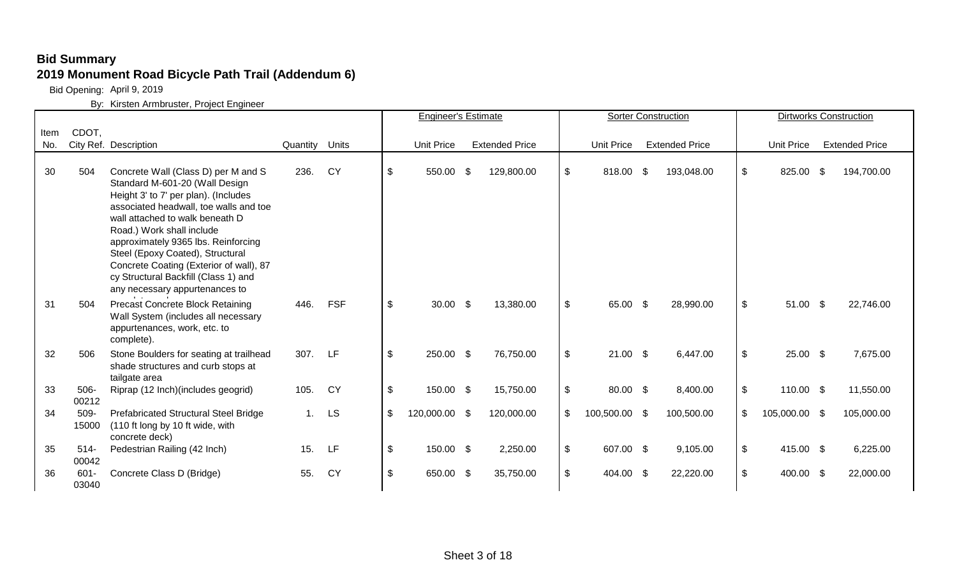Bid Opening: April 9, 2019

|      |                  |                                                                                                                                                                                                                                                                                                                                                                                                                         |                |            |                           | <b>Engineer's Estimate</b> |                       |                     | Sorter Construction   |                           |                   |                    | <b>Dirtworks Construction</b> |
|------|------------------|-------------------------------------------------------------------------------------------------------------------------------------------------------------------------------------------------------------------------------------------------------------------------------------------------------------------------------------------------------------------------------------------------------------------------|----------------|------------|---------------------------|----------------------------|-----------------------|---------------------|-----------------------|---------------------------|-------------------|--------------------|-------------------------------|
| Item | CDOT,            |                                                                                                                                                                                                                                                                                                                                                                                                                         |                |            |                           |                            |                       |                     |                       |                           |                   |                    |                               |
| No.  |                  | City Ref. Description                                                                                                                                                                                                                                                                                                                                                                                                   | Quantity Units |            |                           | <b>Unit Price</b>          | <b>Extended Price</b> | <b>Unit Price</b>   | <b>Extended Price</b> |                           | <b>Unit Price</b> |                    | <b>Extended Price</b>         |
| 30   | 504              | Concrete Wall (Class D) per M and S<br>Standard M-601-20 (Wall Design<br>Height 3' to 7' per plan). (Includes<br>associated headwall, toe walls and toe<br>wall attached to walk beneath D<br>Road.) Work shall include<br>approximately 9365 lbs. Reinforcing<br>Steel (Epoxy Coated), Structural<br>Concrete Coating (Exterior of wall), 87<br>cy Structural Backfill (Class 1) and<br>any necessary appurtenances to | 236.           | <b>CY</b>  | $\boldsymbol{\mathsf{S}}$ | 550.00 \$                  | 129,800.00            | \$<br>818.00 \$     | 193,048.00            | \$                        | 825.00            | -S                 | 194,700.00                    |
| 31   | 504              | <b>Precast Concrete Block Retaining</b><br>Wall System (includes all necessary<br>appurtenances, work, etc. to<br>complete).                                                                                                                                                                                                                                                                                            | 446.           | <b>FSF</b> | $\boldsymbol{\mathsf{S}}$ | $30.00\quad$ \$            | 13,380.00             | \$<br>65.00 \$      | 28,990.00             | \$                        | 51.00             | $\mathbf{\hat{s}}$ | 22,746.00                     |
| 32   | 506              | Stone Boulders for seating at trailhead<br>shade structures and curb stops at<br>tailgate area                                                                                                                                                                                                                                                                                                                          | 307.           | LF         | $\frac{1}{2}$             | 250.00 \$                  | 76,750.00             | \$<br>$21.00$ \$    | 6,447.00              | $\frac{1}{2}$             | 25.00 \$          |                    | 7,675.00                      |
| 33   | $506 -$<br>00212 | Riprap (12 Inch) (includes geogrid)                                                                                                                                                                                                                                                                                                                                                                                     | 105.           | <b>CY</b>  | $\boldsymbol{\mathsf{S}}$ | 150.00 \$                  | 15,750.00             | \$<br>80.00 \$      | 8,400.00              | $\frac{1}{2}$             | 110.00 \$         |                    | 11,550.00                     |
| 34   | 509-<br>15000    | Prefabricated Structural Steel Bridge<br>(110 ft long by 10 ft wide, with<br>concrete deck)                                                                                                                                                                                                                                                                                                                             | 1.             | <b>LS</b>  | \$                        | 120,000.00 \$              | 120,000.00            | \$<br>100,500.00 \$ | 100,500.00            | $\boldsymbol{\mathsf{S}}$ | 105,000.00 \$     |                    | 105,000.00                    |
| 35   | $514 -$<br>00042 | Pedestrian Railing (42 Inch)                                                                                                                                                                                                                                                                                                                                                                                            | 15.            | LF         | $\boldsymbol{\mathsf{S}}$ | 150.00 \$                  | 2,250.00              | \$<br>607.00 \$     | 9,105.00              | $\boldsymbol{\mathsf{S}}$ | 415.00 \$         |                    | 6,225.00                      |
| 36   | $601 -$<br>03040 | Concrete Class D (Bridge)                                                                                                                                                                                                                                                                                                                                                                                               | 55.            | <b>CY</b>  | \$                        | 650.00 \$                  | 35,750.00             | \$<br>404.00 \$     | 22,220.00             | $\mathfrak{L}$            | 400.00 \$         |                    | 22,000.00                     |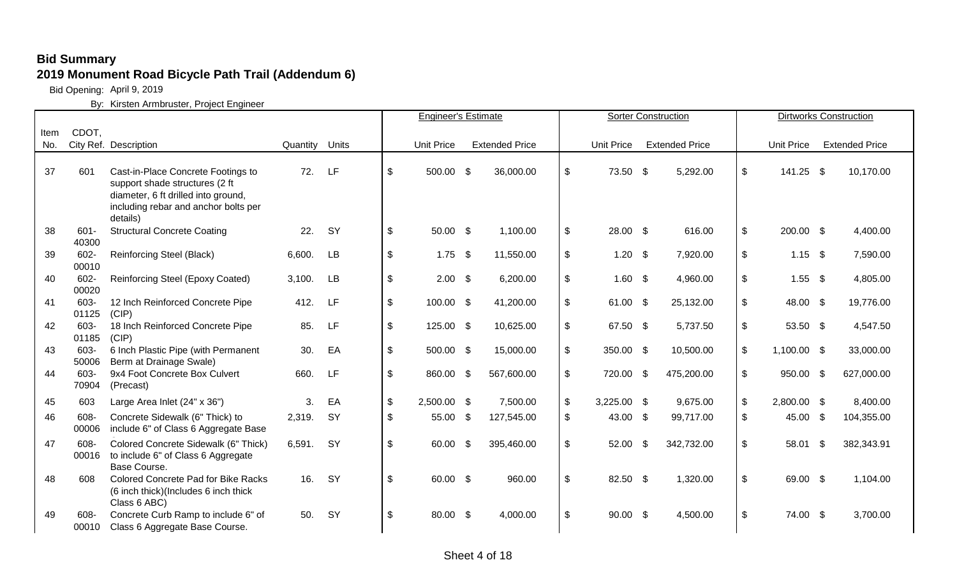Bid Opening: April 9, 2019

|      |                  |                                                                                                                                                                 |                |           |                           | <b>Engineer's Estimate</b> |                       |                     | <b>Sorter Construction</b> |                           |                   |      | <b>Dirtworks Construction</b> |
|------|------------------|-----------------------------------------------------------------------------------------------------------------------------------------------------------------|----------------|-----------|---------------------------|----------------------------|-----------------------|---------------------|----------------------------|---------------------------|-------------------|------|-------------------------------|
| Item | CDOT,            |                                                                                                                                                                 |                |           |                           |                            |                       |                     |                            |                           |                   |      |                               |
| No.  |                  | City Ref. Description                                                                                                                                           | Quantity Units |           |                           | <b>Unit Price</b>          | <b>Extended Price</b> | <b>Unit Price</b>   | <b>Extended Price</b>      |                           | <b>Unit Price</b> |      | <b>Extended Price</b>         |
| 37   | 601              | Cast-in-Place Concrete Footings to<br>support shade structures (2 ft<br>diameter, 6 ft drilled into ground,<br>including rebar and anchor bolts per<br>details) | 72.            | LF        | \$                        | 500.00 \$                  | 36,000.00             | \$<br>73.50 \$      | 5,292.00                   | $\frac{1}{2}$             | 141.25 \$         |      | 10,170.00                     |
| 38   | $601 -$<br>40300 | <b>Structural Concrete Coating</b>                                                                                                                              | 22.            | SY        | $\sqrt[6]{\frac{1}{2}}$   | 50.00 \$                   | 1,100.00              | \$<br>28.00 \$      | 616.00                     | $\boldsymbol{\mathsf{S}}$ | 200.00 \$         |      | 4,400.00                      |
| 39   | 602-<br>00010    | Reinforcing Steel (Black)                                                                                                                                       | 6,600.         | <b>LB</b> | $\sqrt[6]{\frac{1}{2}}$   | $1.75$ \$                  | 11,550.00             | \$<br>$1.20$ \$     | 7,920.00                   | $\frac{1}{2}$             | $1.15$ \$         |      | 7,590.00                      |
| 40   | 602-<br>00020    | Reinforcing Steel (Epoxy Coated)                                                                                                                                | 3,100.         | <b>LB</b> | $\frac{1}{2}$             | $2.00\quad$ \$             | 6,200.00              | \$<br>$1.60$ \$     | 4,960.00                   | $\frac{1}{2}$             | $1.55$ \$         |      | 4,805.00                      |
| 41   | 603-<br>01125    | 12 Inch Reinforced Concrete Pipe<br>(CIP)                                                                                                                       | 412.           | <b>LF</b> | $\boldsymbol{\mathsf{S}}$ | 100.00 \$                  | 41,200.00             | \$<br>61.00 \$      | 25,132.00                  | $\boldsymbol{\mathsf{S}}$ | 48.00 \$          |      | 19,776.00                     |
| 42   | 603-<br>01185    | 18 Inch Reinforced Concrete Pipe<br>(CIP)                                                                                                                       | 85.            | LF        | $\boldsymbol{\mathsf{S}}$ | 125.00 \$                  | 10,625.00             | \$<br>67.50 \$      | 5,737.50                   | $\boldsymbol{\mathsf{S}}$ | 53.50 \$          |      | 4,547.50                      |
| 43   | 603-<br>50006    | 6 Inch Plastic Pipe (with Permanent<br>Berm at Drainage Swale)                                                                                                  | 30.            | EA        | $\mathfrak{L}$            | 500.00 \$                  | 15,000.00             | \$<br>350.00 \$     | 10,500.00                  | $\sqrt[6]{\frac{1}{2}}$   | 1,100.00 \$       |      | 33,000.00                     |
| 44   | 603-<br>70904    | 9x4 Foot Concrete Box Culvert<br>(Precast)                                                                                                                      | 660.           | LF        | $\mathfrak{L}$            | 860.00 \$                  | 567,600.00            | \$<br>720.00 \$     | 475,200.00                 | $\boldsymbol{\mathsf{S}}$ | 950.00 \$         |      | 627,000.00                    |
| 45   | 603              | Large Area Inlet (24" x 36")                                                                                                                                    | 3.             | EA        | $\boldsymbol{\mathsf{S}}$ | 2,500.00 \$                | 7,500.00              | \$<br>$3,225.00$ \$ | 9,675.00                   | $\boldsymbol{\mathsf{S}}$ | 2,800.00 \$       |      | 8,400.00                      |
| 46   | 608-<br>00006    | Concrete Sidewalk (6" Thick) to<br>include 6" of Class 6 Aggregate Base                                                                                         | 2,319.         | <b>SY</b> | \$                        | 55.00 \$                   | 127,545.00            | \$<br>43.00 \$      | 99,717.00                  | \$                        | 45.00             | \$   | 104,355.00                    |
| 47   | 608-<br>00016    | Colored Concrete Sidewalk (6" Thick)<br>to include 6" of Class 6 Aggregate<br>Base Course.                                                                      | 6,591.         | SY        | $\sqrt[6]{\frac{1}{2}}$   | 60.00 \$                   | 395,460.00            | \$<br>52.00         | \$<br>342,732.00           | $\frac{1}{2}$             | 58.01             | - \$ | 382,343.91                    |
| 48   | 608              | <b>Colored Concrete Pad for Bike Racks</b><br>(6 inch thick)(Includes 6 inch thick<br>Class 6 ABC)                                                              | 16.            | SY        | $\sqrt[6]{\frac{1}{2}}$   | 60.00 \$                   | 960.00                | \$<br>82.50 \$      | 1,320.00                   | $\frac{1}{2}$             | 69.00 \$          |      | 1,104.00                      |
| 49   | 608-<br>00010    | Concrete Curb Ramp to include 6" of<br>Class 6 Aggregate Base Course.                                                                                           | 50.            | SY        | $\boldsymbol{\mathsf{S}}$ | 80.00 \$                   | 4,000.00              | \$<br>$90.00$ \$    | 4,500.00                   | $\boldsymbol{\mathsf{S}}$ | 74.00 \$          |      | 3,700.00                      |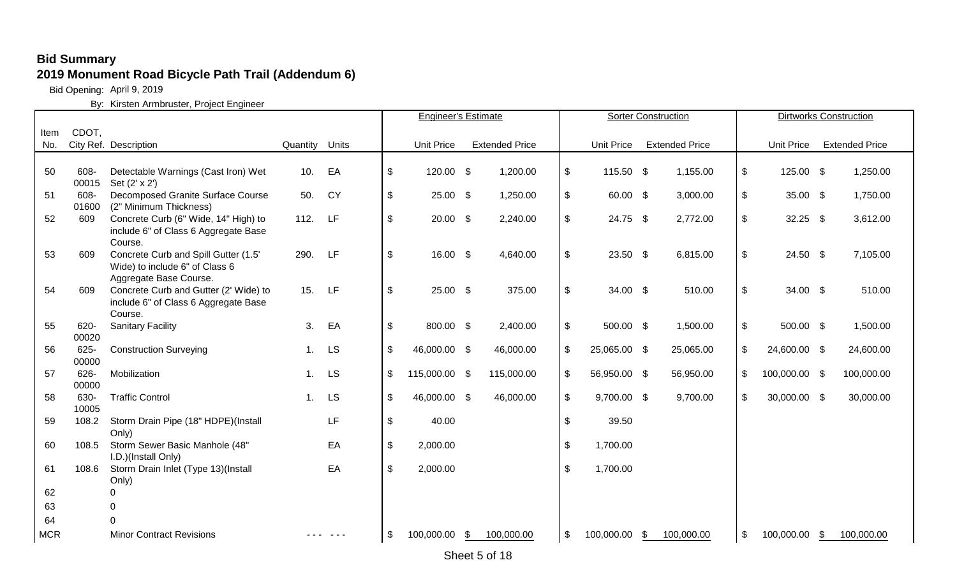Bid Opening: April 9, 2019

|            |               |                                                                                                  |                |           |                           | <b>Engineer's Estimate</b> |                       |                            |                   | <b>Sorter Construction</b> |      |                   | <b>Dirtworks Construction</b> |
|------------|---------------|--------------------------------------------------------------------------------------------------|----------------|-----------|---------------------------|----------------------------|-----------------------|----------------------------|-------------------|----------------------------|------|-------------------|-------------------------------|
| Item       | CDOT,         |                                                                                                  |                |           |                           |                            |                       |                            |                   |                            |      |                   |                               |
| No.        |               | City Ref. Description                                                                            | Quantity Units |           |                           | <b>Unit Price</b>          | <b>Extended Price</b> |                            | <b>Unit Price</b> | <b>Extended Price</b>      |      | <b>Unit Price</b> | <b>Extended Price</b>         |
|            |               |                                                                                                  |                |           |                           |                            |                       |                            |                   |                            |      |                   |                               |
| 50         | 608-<br>00015 | Detectable Warnings (Cast Iron) Wet<br>Set (2' x 2')                                             | 10.            | EA        | $\sqrt[6]{\frac{1}{2}}$   | 120.00 \$                  | 1,200.00              | \$                         | 115.50 \$         | 1,155.00                   | \$   | 125.00 \$         | 1,250.00                      |
| 51         | 608-<br>01600 | Decomposed Granite Surface Course<br>(2" Minimum Thickness)                                      | 50.            | <b>CY</b> | $\$\$                     | $25.00$ \$                 | 1,250.00              | $\sqrt[6]{\frac{1}{2}}$    | 60.00 \$          | 3,000.00                   | $\,$ | 35.00 \$          | 1,750.00                      |
| 52         | 609           | Concrete Curb (6" Wide, 14" High) to<br>include 6" of Class 6 Aggregate Base<br>Course.          | 112.           | LF        | $\sqrt[6]{\frac{1}{2}}$   | $20.00\quad$ \$            | 2,240.00              | $\mathfrak{F}$             | 24.75 \$          | 2,772.00                   | \$   | $32.25$ \$        | 3,612.00                      |
| 53         | 609           | Concrete Curb and Spill Gutter (1.5'<br>Wide) to include 6" of Class 6<br>Aggregate Base Course. | 290.           | LF        | $\sqrt[6]{\frac{1}{2}}$   | $16.00$ \$                 | 4,640.00              | \$                         | $23.50$ \$        | 6,815.00                   | \$   | $24.50$ \$        | 7,105.00                      |
| 54         | 609           | Concrete Curb and Gutter (2' Wide) to<br>include 6" of Class 6 Aggregate Base<br>Course.         | 15.            | LF        | $\sqrt[6]{\frac{1}{2}}$   | 25.00 \$                   | 375.00                | $\mathfrak{F}$             | $34.00\quad$ \$   | 510.00                     | \$   | $34.00 \quad $$   | 510.00                        |
| 55         | 620-<br>00020 | <b>Sanitary Facility</b>                                                                         | 3.             | EA        | $\frac{1}{2}$             | 800.00 \$                  | 2,400.00              | $\sqrt[6]{\frac{1}{2}}$    | 500.00 \$         | 1,500.00                   | \$   | 500.00 \$         | 1,500.00                      |
| 56         | 625-<br>00000 | <b>Construction Surveying</b>                                                                    | 1.             | <b>LS</b> | $\boldsymbol{\mathsf{S}}$ | 46,000.00 \$               | 46,000.00             | \$                         | 25,065.00 \$      | 25,065.00                  | \$   | 24,600.00 \$      | 24,600.00                     |
| 57         | 626-<br>00000 | Mobilization                                                                                     | 1.             | <b>LS</b> | \$                        | 115,000.00 \$              | 115,000.00            | \$                         | 56,950.00 \$      | 56,950.00                  | \$   | 100,000.00 \$     | 100,000.00                    |
| 58         | 630-<br>10005 | <b>Traffic Control</b>                                                                           | 1.             | <b>LS</b> | \$                        | 46,000.00 \$               | 46,000.00             | $\mathfrak{S}$             | $9,700.00$ \$     | 9,700.00                   | \$   | 30,000.00 \$      | 30,000.00                     |
| 59         | 108.2         | Storm Drain Pipe (18" HDPE)(Install<br>Only)                                                     |                | <b>LF</b> | $\sqrt[6]{\frac{1}{2}}$   | 40.00                      |                       | $\mathfrak{S}$             | 39.50             |                            |      |                   |                               |
| 60         | 108.5         | Storm Sewer Basic Manhole (48"<br>I.D.)(Install Only)                                            |                | EA        | \$                        | 2,000.00                   |                       | $\sqrt[6]{\frac{1}{2}}$    | 1,700.00          |                            |      |                   |                               |
| 61         | 108.6         | Storm Drain Inlet (Type 13)(Install<br>Only)                                                     |                | EA        | $\sqrt[6]{\frac{1}{2}}$   | 2,000.00                   |                       | $\mathfrak{S}$             | 1,700.00          |                            |      |                   |                               |
| 62         |               | ∩                                                                                                |                |           |                           |                            |                       |                            |                   |                            |      |                   |                               |
| 63         |               | $\Omega$                                                                                         |                |           |                           |                            |                       |                            |                   |                            |      |                   |                               |
| 64         |               | $\cap$                                                                                           |                |           |                           |                            |                       |                            |                   |                            |      |                   |                               |
| <b>MCR</b> |               | <b>Minor Contract Revisions</b>                                                                  |                |           | \$                        | 100,000.00 \$              | 100,000.00            | $\boldsymbol{\mathsf{\$}}$ | 100,000.00 \$     | 100,000.00                 | \$   | 100,000.00        | \$<br>100,000.00              |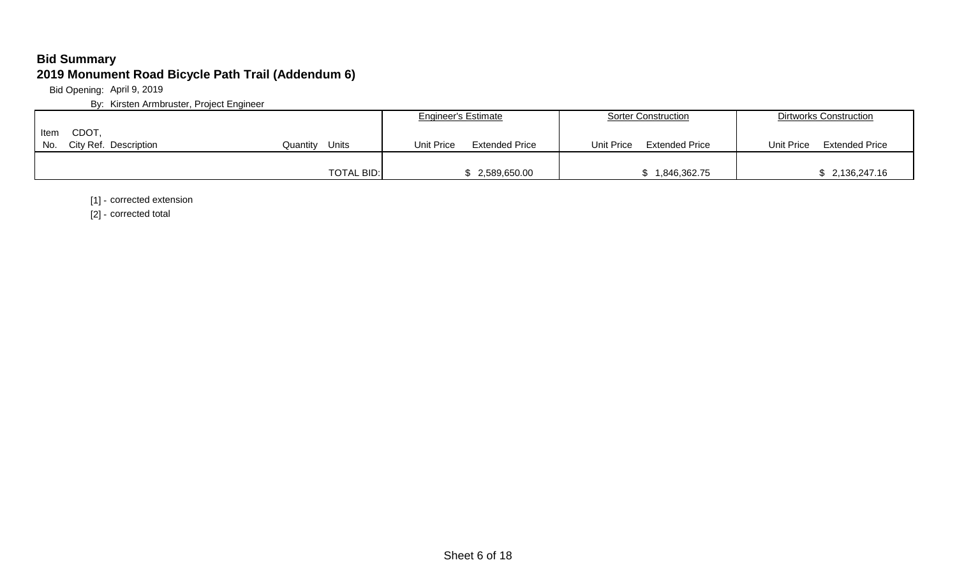Bid Opening: April 9, 2019

By: Kirsten Armbruster, Project Engineer

|                                                     |                   | <b>Engineer's Estimate</b>          | Sorter Construction                 | Dirtworks Construction              |
|-----------------------------------------------------|-------------------|-------------------------------------|-------------------------------------|-------------------------------------|
| <b>CDOT</b><br>Item<br>No.<br>City Ref. Description | Units<br>Quantitv | Unit Price<br><b>Extended Price</b> | Unit Price<br><b>Extended Price</b> | <b>Extended Price</b><br>Unit Price |
|                                                     | <b>TOTAL BID:</b> | \$2,589,650.00                      | 1,846,362.75                        | 2,136,247.16                        |

[1] - corrected extension

[2] - corrected total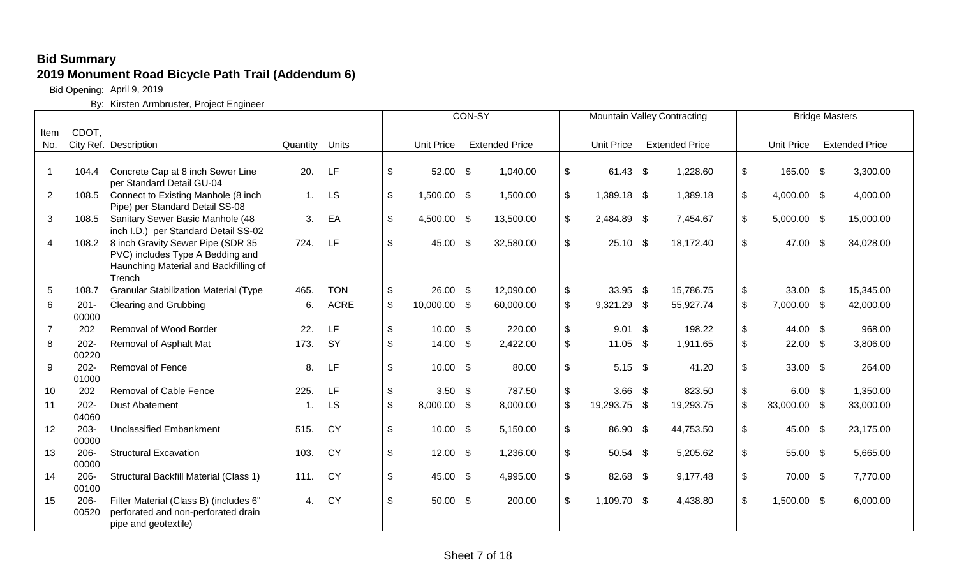Bid Opening: April 9, 2019

|                |                  |                                                                           |                |             |                           |                   | CON-SY                |                           | <b>Mountain Valley Contracting</b> |                       |                            |                   | <b>Bridge Masters</b> |                       |
|----------------|------------------|---------------------------------------------------------------------------|----------------|-------------|---------------------------|-------------------|-----------------------|---------------------------|------------------------------------|-----------------------|----------------------------|-------------------|-----------------------|-----------------------|
| Item           | CDOT,            |                                                                           |                |             |                           |                   |                       |                           |                                    |                       |                            |                   |                       |                       |
| No.            |                  | City Ref. Description                                                     | Quantity Units |             |                           | <b>Unit Price</b> | <b>Extended Price</b> |                           | Unit Price                         | <b>Extended Price</b> |                            | <b>Unit Price</b> |                       | <b>Extended Price</b> |
|                |                  |                                                                           |                |             |                           |                   |                       |                           |                                    |                       |                            |                   |                       |                       |
| $\overline{1}$ | 104.4            | Concrete Cap at 8 inch Sewer Line                                         | 20.            | LF          | \$                        | 52.00 \$          | 1,040.00              | $\boldsymbol{\mathsf{S}}$ | 61.43 \$                           | 1,228.60              | $\boldsymbol{\mathsf{\$}}$ | 165.00 \$         |                       | 3,300.00              |
|                |                  | per Standard Detail GU-04                                                 |                |             |                           |                   |                       |                           |                                    |                       |                            |                   |                       |                       |
| $\overline{2}$ | 108.5            | Connect to Existing Manhole (8 inch                                       | 1.             | <b>LS</b>   | \$                        | 1,500.00 \$       | 1,500.00              | $\mathfrak{S}$            | 1,389.18 \$                        | 1,389.18              | $\sqrt[6]{\frac{1}{2}}$    | 4,000.00 \$       |                       | 4,000.00              |
|                |                  | Pipe) per Standard Detail SS-08                                           |                |             |                           |                   |                       |                           |                                    |                       |                            |                   |                       |                       |
| 3              | 108.5            | Sanitary Sewer Basic Manhole (48                                          | 3.             | EA          | $\mathfrak{S}$            | 4,500.00 \$       | 13,500.00             | $\mathfrak{S}$            | 2,484.89 \$                        | 7,454.67              | $\boldsymbol{\mathsf{S}}$  | $5,000.00$ \$     |                       | 15,000.00             |
|                |                  | inch I.D.) per Standard Detail SS-02                                      |                |             |                           |                   |                       |                           |                                    |                       |                            |                   |                       |                       |
| 4              | 108.2            | 8 inch Gravity Sewer Pipe (SDR 35                                         | 724.           | LF          | \$                        | 45.00 \$          | 32,580.00             | $\boldsymbol{\mathsf{S}}$ | $25.10$ \$                         | 18,172.40             | $\boldsymbol{\mathsf{\$}}$ | 47.00 \$          |                       | 34,028.00             |
|                |                  | PVC) includes Type A Bedding and<br>Haunching Material and Backfilling of |                |             |                           |                   |                       |                           |                                    |                       |                            |                   |                       |                       |
|                |                  | Trench                                                                    |                |             |                           |                   |                       |                           |                                    |                       |                            |                   |                       |                       |
| $\overline{5}$ | 108.7            | <b>Granular Stabilization Material (Type</b>                              | 465.           | <b>TON</b>  | $\boldsymbol{\mathsf{S}}$ | $26.00\quad$ \$   | 12,090.00             | $\frac{1}{2}$             | 33.95 \$                           | 15,786.75             | $\sqrt[6]{\frac{1}{2}}$    | $33.00\quad$ \$   |                       | 15,345.00             |
| 6              | $201 -$          | <b>Clearing and Grubbing</b>                                              | 6.             | <b>ACRE</b> | $\boldsymbol{\mathsf{S}}$ | 10,000.00 \$      | 60,000.00             | \$                        | 9,321.29 \$                        | 55,927.74             | $\sqrt[6]{\frac{1}{2}}$    | 7,000.00 \$       |                       | 42,000.00             |
|                | 00000            |                                                                           |                |             |                           |                   |                       |                           |                                    |                       |                            |                   |                       |                       |
| 7              | 202              | Removal of Wood Border                                                    | 22.            | LF          | $\boldsymbol{\mathsf{S}}$ | $10.00$ \$        | 220.00                | $\boldsymbol{\mathsf{S}}$ | $9.01$ \$                          | 198.22                | $\boldsymbol{\mathsf{\$}}$ | 44.00 \$          |                       | 968.00                |
| 8              | $202 -$          | Removal of Asphalt Mat                                                    | 173.           | SY          | \$                        | $14.00$ \$        | 2,422.00              | $\boldsymbol{\mathsf{S}}$ | $11.05$ \$                         | 1,911.65              | $\boldsymbol{\mathsf{S}}$  | $22.00$ \$        |                       | 3,806.00              |
|                | 00220            |                                                                           |                |             |                           |                   |                       |                           |                                    |                       |                            |                   |                       |                       |
| 9              | $202 -$          | <b>Removal of Fence</b>                                                   | 8.             | LF          | \$                        | $10.00$ \$        | 80.00                 | $\mathfrak{P}$            | $5.15$ \$                          | 41.20                 | \$                         | 33.00 \$          |                       | 264.00                |
|                | 01000            |                                                                           |                |             |                           |                   |                       |                           |                                    |                       |                            |                   |                       |                       |
| 10             | 202              | <b>Removal of Cable Fence</b>                                             | 225.           | LF          | \$                        | $3.50$ \$         | 787.50                | $\frac{1}{2}$             | $3.66$ \$                          | 823.50                | $\sqrt[6]{\frac{1}{2}}$    | $6.00\quad$ \$    |                       | 1,350.00              |
| 11             | $202 -$          | <b>Dust Abatement</b>                                                     | $\mathbf 1$    | LS          | $\boldsymbol{\mathsf{S}}$ | 8,000.00 \$       | 8,000.00              | \$                        | 19,293.75 \$                       | 19,293.75             | $\sqrt[6]{3}$              | 33,000.00 \$      |                       | 33,000.00             |
|                | 04060            |                                                                           |                |             |                           |                   |                       |                           |                                    |                       |                            |                   |                       |                       |
| 12             | $203 -$          | <b>Unclassified Embankment</b>                                            | 515.           | <b>CY</b>   | \$                        | $10.00$ \$        | 5,150.00              | $\boldsymbol{\mathsf{S}}$ | 86.90 \$                           | 44,753.50             | $\sqrt[6]{\frac{1}{2}}$    | 45.00 \$          |                       | 23,175.00             |
|                | 00000            |                                                                           |                |             |                           |                   |                       |                           |                                    |                       |                            |                   |                       |                       |
| 13             | 206-             | <b>Structural Excavation</b>                                              | 103.           | <b>CY</b>   | \$                        | $12.00$ \$        | 1,236.00              | $\mathfrak{P}$            | $50.54$ \$                         | 5,205.62              | $\sqrt[6]{\frac{1}{2}}$    | 55.00 \$          |                       | 5,665.00              |
| 14             | 00000<br>$206 -$ | Structural Backfill Material (Class 1)                                    | 111.           | <b>CY</b>   | \$                        | 45.00 \$          | 4,995.00              | \$                        | 82.68 \$                           | 9,177.48              | $\boldsymbol{\mathsf{S}}$  | 70.00 \$          |                       | 7,770.00              |
|                | 00100            |                                                                           |                |             |                           |                   |                       |                           |                                    |                       |                            |                   |                       |                       |
| 15             | $206 -$          | Filter Material (Class B) (includes 6"                                    | 4.             | CY          | \$                        | $50.00$ \$        | 200.00                | $\boldsymbol{\mathsf{S}}$ | 1,109.70 \$                        | 4,438.80              | $\boldsymbol{\mathsf{S}}$  | 1,500.00 \$       |                       | 6,000.00              |
|                | 00520            | perforated and non-perforated drain                                       |                |             |                           |                   |                       |                           |                                    |                       |                            |                   |                       |                       |
|                |                  | pipe and geotextile)                                                      |                |             |                           |                   |                       |                           |                                    |                       |                            |                   |                       |                       |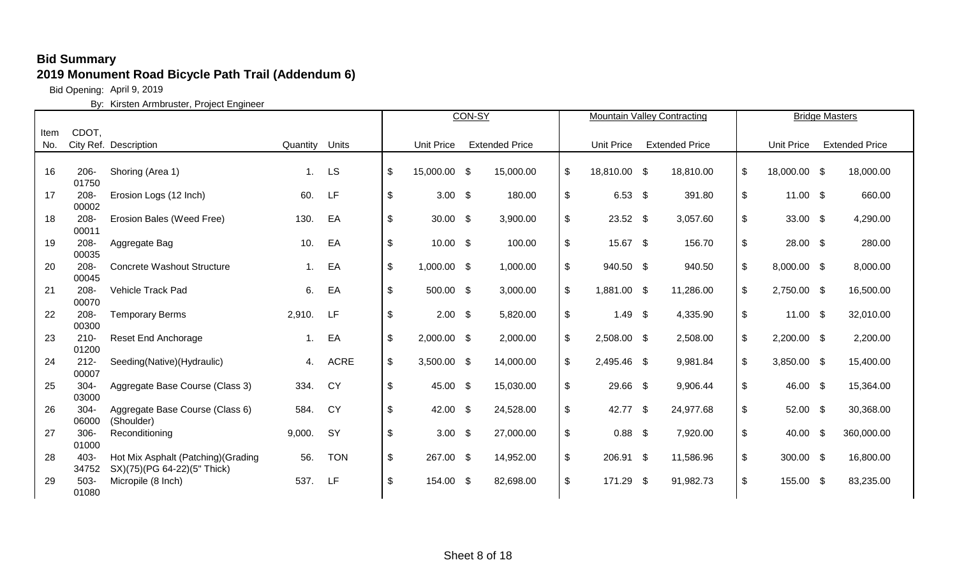Bid Opening: April 9, 2019

|      |               |                                     |          |             |                              |                   | CON-SY |                       | <b>Mountain Valley Contracting</b> |                       | <b>Bridge Masters</b> |               |                       |
|------|---------------|-------------------------------------|----------|-------------|------------------------------|-------------------|--------|-----------------------|------------------------------------|-----------------------|-----------------------|---------------|-----------------------|
| Item | CDOT,         |                                     |          |             |                              |                   |        |                       |                                    |                       |                       |               |                       |
| No.  |               | City Ref. Description               | Quantity | Units       |                              | <b>Unit Price</b> |        | <b>Extended Price</b> | <b>Unit Price</b>                  | <b>Extended Price</b> | <b>Unit Price</b>     |               | <b>Extended Price</b> |
|      |               |                                     |          |             |                              |                   |        |                       |                                    |                       |                       |               |                       |
| 16   | $206 -$       | Shoring (Area 1)                    | 1.       | <b>LS</b>   | $\boldsymbol{\mathsf{S}}$    | 15,000.00 \$      |        | 15,000.00             | \$<br>18,810.00 \$                 | 18,810.00             | \$<br>18,000.00 \$    |               | 18,000.00             |
|      | 01750         |                                     |          |             |                              |                   |        |                       |                                    |                       |                       |               |                       |
| 17   | 208-          | Erosion Logs (12 Inch)              | 60.      | LF          | \$                           | $3.00$ \$         |        | 180.00                | \$<br>6.53 $$$                     | 391.80                | \$<br>$11.00$ \$      |               | 660.00                |
|      | 00002         |                                     |          |             |                              |                   |        |                       |                                    |                       |                       |               |                       |
| 18   | 208-          | Erosion Bales (Weed Free)           | 130.     | EA          | \$                           | $30.00$ \$        |        | 3,900.00              | \$<br>$23.52$ \$                   | 3,057.60              | \$<br>33.00 \$        |               | 4,290.00              |
|      | 00011         |                                     |          |             |                              |                   |        |                       |                                    |                       |                       |               |                       |
| 19   | 208-<br>00035 | Aggregate Bag                       | 10.      | EA          | \$                           | $10.00$ \$        |        | 100.00                | \$<br>15.67 \$                     | 156.70                | \$<br>28.00 \$        |               | 280.00                |
| 20   | 208-          | <b>Concrete Washout Structure</b>   | 1.       | EA          | $\frac{1}{2}$                | 1,000.00 \$       |        | 1,000.00              | \$<br>940.50 \$                    | 940.50                | \$<br>8,000.00 \$     |               | 8,000.00              |
|      | 00045         |                                     |          |             |                              |                   |        |                       |                                    |                       |                       |               |                       |
| 21   | $208 -$       | Vehicle Track Pad                   | 6.       | EA          | \$                           | 500.00 \$         |        | 3,000.00              | \$<br>1,881.00 \$                  | 11,286.00             | \$<br>2,750.00 \$     |               | 16,500.00             |
|      | 00070         |                                     |          |             |                              |                   |        |                       |                                    |                       |                       |               |                       |
| 22   | 208-          | <b>Temporary Berms</b>              | 2,910.   | LF          | \$                           | $2.00$ \$         |        | 5,820.00              | \$<br>$1.49$ \$                    | 4,335.90              | \$<br>$11.00$ \$      |               | 32,010.00             |
|      | 00300         |                                     |          |             |                              |                   |        |                       |                                    |                       |                       |               |                       |
| 23   | $210 -$       | <b>Reset End Anchorage</b>          | 1.       | EA          | \$                           | $2,000.00$ \$     |        | 2,000.00              | \$<br>2,508.00 \$                  | 2,508.00              | \$<br>2,200.00 \$     |               | 2,200.00              |
|      | 01200         |                                     |          |             |                              |                   |        |                       |                                    |                       |                       |               |                       |
| 24   | $212 -$       | Seeding(Native)(Hydraulic)          | 4.       | <b>ACRE</b> | $\$\$                        | $3,500.00$ \$     |        | 14,000.00             | \$<br>2,495.46 \$                  | 9,981.84              | \$<br>3,850.00 \$     |               | 15,400.00             |
|      | 00007         |                                     |          |             |                              |                   |        |                       |                                    |                       |                       |               |                       |
| 25   | $304 -$       | Aggregate Base Course (Class 3)     | 334.     | <b>CY</b>   | \$                           | 45.00 \$          |        | 15,030.00             | \$<br>29.66 \$                     | 9,906.44              | \$<br>46.00 \$        |               | 15,364.00             |
| 26   | 03000<br>304- | Aggregate Base Course (Class 6)     | 584.     | CY          | \$                           | 42.00 \$          |        | 24,528.00             | \$<br>42.77 \$                     | 24,977.68             | \$<br>52.00 \$        |               | 30,368.00             |
|      | 06000         | (Shoulder)                          |          |             |                              |                   |        |                       |                                    |                       |                       |               |                       |
| 27   | 306-          | Reconditioning                      | 9,000.   | SY          | \$                           | $3.00$ \$         |        | 27,000.00             | \$<br>$0.88$ \$                    | 7,920.00              | \$<br>40.00           | $\mathfrak s$ | 360,000.00            |
|      | 01000         |                                     |          |             |                              |                   |        |                       |                                    |                       |                       |               |                       |
| 28   | 403-          | Hot Mix Asphalt (Patching) (Grading | 56.      | <b>TON</b>  | $\boldsymbol{\hat{\varphi}}$ | 267.00 \$         |        | 14,952.00             | \$<br>206.91 \$                    | 11,586.96             | \$<br>300.00 \$       |               | 16,800.00             |
|      | 34752         | SX)(75)(PG 64-22)(5" Thick)         |          |             |                              |                   |        |                       |                                    |                       |                       |               |                       |
| 29   | $503 -$       | Micropile (8 Inch)                  | 537.     | LF          | \$                           | 154.00 \$         |        | 82,698.00             | \$<br>171.29 \$                    | 91,982.73             | \$<br>155.00 \$       |               | 83,235.00             |
|      | 01080         |                                     |          |             |                              |                   |        |                       |                                    |                       |                       |               |                       |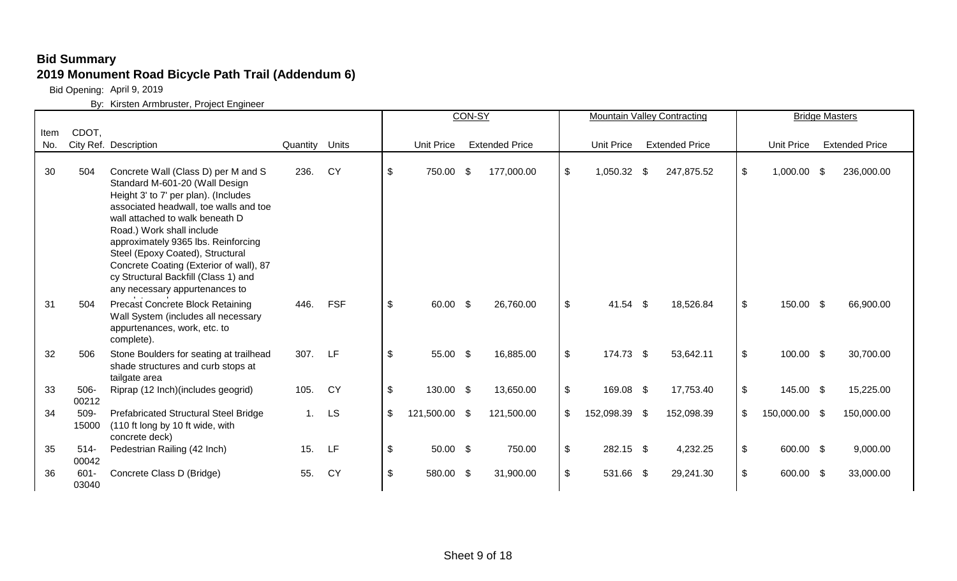Bid Opening: April 9, 2019

|      |                  |                                                                                                                                                                                                                                                                                                                                                                                                                         |                |            |                           |                   | CON-SY |                       |                            |               | <b>Mountain Valley Contracting</b> |       | <b>Bridge Masters</b> |                       |  |
|------|------------------|-------------------------------------------------------------------------------------------------------------------------------------------------------------------------------------------------------------------------------------------------------------------------------------------------------------------------------------------------------------------------------------------------------------------------|----------------|------------|---------------------------|-------------------|--------|-----------------------|----------------------------|---------------|------------------------------------|-------|-----------------------|-----------------------|--|
| Item | CDOT,            |                                                                                                                                                                                                                                                                                                                                                                                                                         |                |            |                           |                   |        |                       |                            |               |                                    |       |                       |                       |  |
| No.  |                  | City Ref. Description                                                                                                                                                                                                                                                                                                                                                                                                   | Quantity Units |            |                           | <b>Unit Price</b> |        | <b>Extended Price</b> |                            | Unit Price    | <b>Extended Price</b>              |       | <b>Unit Price</b>     | <b>Extended Price</b> |  |
| 30   | 504              | Concrete Wall (Class D) per M and S<br>Standard M-601-20 (Wall Design<br>Height 3' to 7' per plan). (Includes<br>associated headwall, toe walls and toe<br>wall attached to walk beneath D<br>Road.) Work shall include<br>approximately 9365 lbs. Reinforcing<br>Steel (Epoxy Coated), Structural<br>Concrete Coating (Exterior of wall), 87<br>cy Structural Backfill (Class 1) and<br>any necessary appurtenances to | 236.           | <b>CY</b>  | $\boldsymbol{\mathsf{S}}$ | 750.00 \$         |        | 177,000.00            | $\boldsymbol{\mathsf{\$}}$ | 1,050.32 \$   | 247,875.52                         | \$    | 1,000.00 \$           | 236,000.00            |  |
| 31   | 504              | <b>Precast Concrete Block Retaining</b><br>Wall System (includes all necessary<br>appurtenances, work, etc. to<br>complete).                                                                                                                                                                                                                                                                                            | 446.           | <b>FSF</b> | \$                        | 60.00 \$          |        | 26,760.00             | $\mathfrak{P}$             | $41.54$ \$    | 18,526.84                          | \$    | 150.00 \$             | 66,900.00             |  |
| 32   | 506              | Stone Boulders for seating at trailhead<br>shade structures and curb stops at<br>tailgate area                                                                                                                                                                                                                                                                                                                          | 307.           | LF         | $\frac{1}{2}$             | 55.00 \$          |        | 16,885.00             | $\sqrt[6]{\frac{1}{2}}$    | 174.73 \$     | 53,642.11                          | \$    | 100.00 \$             | 30,700.00             |  |
| 33   | $506 -$<br>00212 | Riprap (12 Inch) (includes geogrid)                                                                                                                                                                                                                                                                                                                                                                                     | 105.           | <b>CY</b>  | $\sqrt[6]{2}$             | 130.00 \$         |        | 13,650.00             | $\boldsymbol{\mathsf{S}}$  | 169.08 \$     | 17,753.40                          | \$    | 145.00 \$             | 15,225.00             |  |
| 34   | 509-<br>15000    | Prefabricated Structural Steel Bridge<br>(110 ft long by 10 ft wide, with<br>concrete deck)                                                                                                                                                                                                                                                                                                                             | 1.             | <b>LS</b>  | \$                        | 121,500.00 \$     |        | 121,500.00            | $\boldsymbol{\mathsf{S}}$  | 152,098.39 \$ | 152,098.39                         | \$    | 150,000.00 \$         | 150,000.00            |  |
| 35   | $514 -$<br>00042 | Pedestrian Railing (42 Inch)                                                                                                                                                                                                                                                                                                                                                                                            | 15.            | LF         | $\boldsymbol{\mathsf{S}}$ | 50.00 \$          |        | 750.00                | \$                         | 282.15 \$     | 4,232.25                           | $\$\$ | 600.00 \$             | 9,000.00              |  |
| 36   | $601 -$<br>03040 | Concrete Class D (Bridge)                                                                                                                                                                                                                                                                                                                                                                                               | 55.            | <b>CY</b>  | \$                        | 580.00 \$         |        | 31,900.00             | \$                         | 531.66 \$     | 29,241.30                          | \$    | 600.00 \$             | 33,000.00             |  |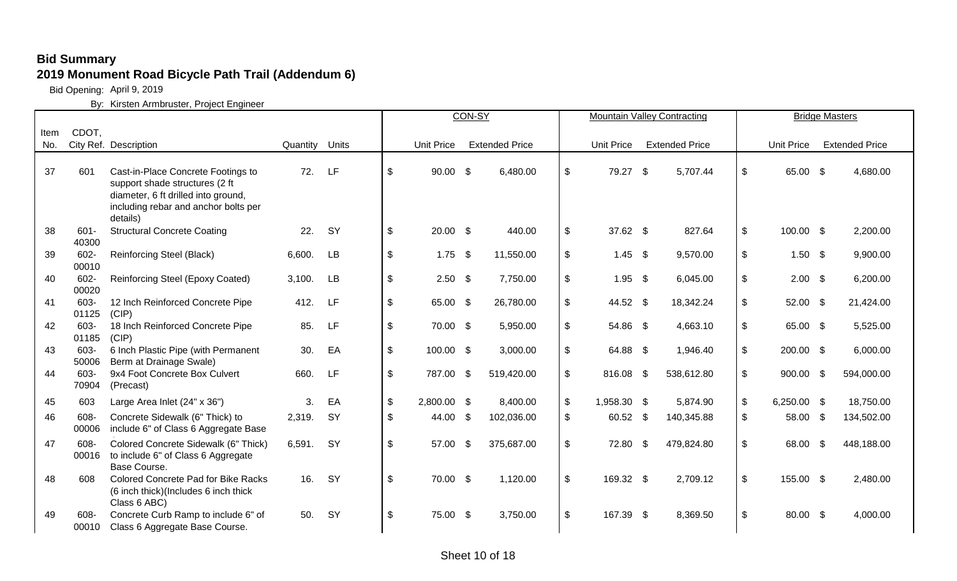Bid Opening: April 9, 2019

|      |                  |                                                                                                                                                     |          |           |                              |                   | CON-SY |                       |                           |                   | <b>Mountain Valley Contracting</b> |                              |                   |                           | <b>Bridge Masters</b> |
|------|------------------|-----------------------------------------------------------------------------------------------------------------------------------------------------|----------|-----------|------------------------------|-------------------|--------|-----------------------|---------------------------|-------------------|------------------------------------|------------------------------|-------------------|---------------------------|-----------------------|
| Item | CDOT,            |                                                                                                                                                     |          |           |                              |                   |        |                       |                           |                   |                                    |                              |                   |                           |                       |
| No.  |                  | City Ref. Description                                                                                                                               | Quantity | Units     |                              | <b>Unit Price</b> |        | <b>Extended Price</b> |                           | <b>Unit Price</b> | <b>Extended Price</b>              |                              | <b>Unit Price</b> |                           | <b>Extended Price</b> |
| 37   | 601              | Cast-in-Place Concrete Footings to<br>support shade structures (2 ft<br>diameter, 6 ft drilled into ground,<br>including rebar and anchor bolts per | 72.      | LF        | $\frac{1}{2}$                | $90.00$ \$        |        | 6,480.00              | $\boldsymbol{\mathsf{S}}$ | 79.27 \$          | 5,707.44                           | $\sqrt[6]{3}$                | 65.00 \$          |                           | 4,680.00              |
| 38   | $601 -$<br>40300 | details)<br><b>Structural Concrete Coating</b>                                                                                                      | 22.      | SY        | $\boldsymbol{\mathsf{\$}}$   | $20.00$ \$        |        | 440.00                | $\mathfrak{P}$            | 37.62 \$          | 827.64                             | $\sqrt[6]{3}$                | 100.00 \$         |                           | 2,200.00              |
| 39   | 602-<br>00010    | <b>Reinforcing Steel (Black)</b>                                                                                                                    | 6,600.   | <b>LB</b> | $\pmb{\$}$                   | $1.75$ \$         |        | 11,550.00             | $\mathfrak{P}$            | $1.45$ \$         | 9,570.00                           | $\boldsymbol{\hat{\varphi}}$ | $1.50$ \$         |                           | 9,900.00              |
| 40   | 602-<br>00020    | Reinforcing Steel (Epoxy Coated)                                                                                                                    | 3,100.   | LB        | \$                           | $2.50$ \$         |        | 7,750.00              | $\mathfrak{P}$            | $1.95$ \$         | 6,045.00                           | \$                           | $2.00$ \$         |                           | 6,200.00              |
| 41   | 603-<br>01125    | 12 Inch Reinforced Concrete Pipe<br>(CIP)                                                                                                           | 412.     | LF        | \$                           | 65.00 \$          |        | 26,780.00             | $\boldsymbol{\mathsf{S}}$ | 44.52 \$          | 18,342.24                          | $\sqrt[6]{2}$                | 52.00 \$          |                           | 21,424.00             |
| 42   | 603-<br>01185    | 18 Inch Reinforced Concrete Pipe<br>(CIP)                                                                                                           | 85.      | LF        | \$                           | 70.00 \$          |        | 5,950.00              | $\boldsymbol{\mathsf{S}}$ | 54.86 \$          | 4,663.10                           | $\mathfrak{F}$               | 65.00 \$          |                           | 5,525.00              |
| 43   | 603-<br>50006    | 6 Inch Plastic Pipe (with Permanent<br>Berm at Drainage Swale)                                                                                      | 30.      | EA        | $\boldsymbol{\hat{\varphi}}$ | 100.00 \$         |        | 3,000.00              | $\mathfrak{P}$            | 64.88 \$          | 1,946.40                           | $\sqrt[6]{\frac{1}{2}}$      | 200.00 \$         |                           | 6,000.00              |
| 44   | 603-<br>70904    | 9x4 Foot Concrete Box Culvert<br>(Precast)                                                                                                          | 660.     | LF        | $\sqrt[6]{\frac{1}{2}}$      | 787.00 \$         |        | 519,420.00            | $\mathfrak{L}$            | 816.08 \$         | 538,612.80                         | $\mathfrak{L}$               | 900.00 \$         |                           | 594,000.00            |
| 45   | 603              | Large Area Inlet (24" x 36")                                                                                                                        | 3.       | EA        | $\frac{1}{2}$                | 2,800.00 \$       |        | 8,400.00              | $\boldsymbol{\mathsf{S}}$ | 1,958.30 \$       | 5,874.90                           | $\sqrt[6]{3}$                | 6,250.00 \$       |                           | 18,750.00             |
| 46   | 608-<br>00006    | Concrete Sidewalk (6" Thick) to<br>include 6" of Class 6 Aggregate Base                                                                             | 2,319.   | SY        | \$                           | 44.00 \$          |        | 102,036.00            | \$                        | 60.52 \$          | 140,345.88                         | $\boldsymbol{\mathsf{S}}$    | 58.00             | $\boldsymbol{\mathsf{S}}$ | 134,502.00            |
| 47   | 608-<br>00016    | Colored Concrete Sidewalk (6" Thick)<br>to include 6" of Class 6 Aggregate<br>Base Course.                                                          | 6,591.   | SY        | $\boldsymbol{\mathsf{S}}$    | 57.00 \$          |        | 375,687.00            | $\boldsymbol{\mathsf{S}}$ | 72.80 \$          | 479,824.80                         | $\sqrt[6]{2}$                | 68.00             | -\$                       | 448,188.00            |
| 48   | 608              | Colored Concrete Pad for Bike Racks<br>(6 inch thick)(Includes 6 inch thick<br>Class 6 ABC)                                                         | 16.      | SY        | $\boldsymbol{\hat{\varphi}}$ | 70.00 \$          |        | 1,120.00              | $\boldsymbol{\mathsf{S}}$ | 169.32 \$         | 2,709.12                           | $\sqrt[6]{\frac{1}{2}}$      | 155.00 \$         |                           | 2,480.00              |
| 49   | 608-<br>00010    | Concrete Curb Ramp to include 6" of<br>Class 6 Aggregate Base Course.                                                                               | 50.      | SY        | \$                           | 75.00 \$          |        | 3,750.00              | \$                        | 167.39 \$         | 8,369.50                           | $\boldsymbol{\mathsf{S}}$    | 80.00 \$          |                           | 4,000.00              |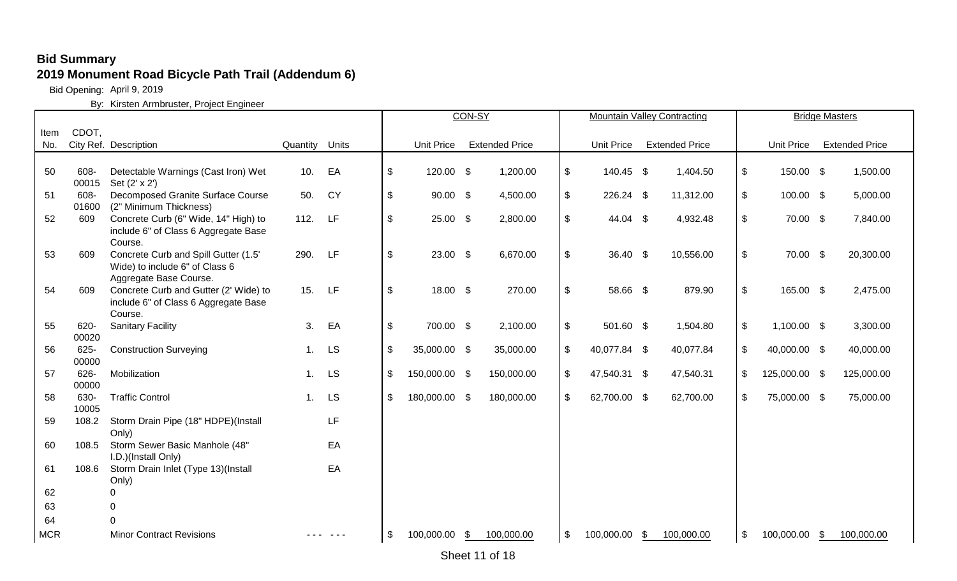Bid Opening: April 9, 2019

|            |               |                                                                                                  |                |           |                            |                   | CON-SY |                       |                           |                   | <b>Mountain Valley Contracting</b> |                            |                   | <b>Bridge Masters</b> |
|------------|---------------|--------------------------------------------------------------------------------------------------|----------------|-----------|----------------------------|-------------------|--------|-----------------------|---------------------------|-------------------|------------------------------------|----------------------------|-------------------|-----------------------|
| Item       | CDOT,         |                                                                                                  |                |           |                            |                   |        |                       |                           |                   |                                    |                            |                   |                       |
| No.        |               | City Ref. Description                                                                            | Quantity Units |           |                            | <b>Unit Price</b> |        | <b>Extended Price</b> |                           | <b>Unit Price</b> | <b>Extended Price</b>              |                            | <b>Unit Price</b> | <b>Extended Price</b> |
|            |               |                                                                                                  |                |           |                            |                   |        |                       |                           |                   |                                    |                            |                   |                       |
| 50         | 608-<br>00015 | Detectable Warnings (Cast Iron) Wet<br>Set (2' x 2')                                             | 10.            | EA        | $\boldsymbol{\mathsf{\$}}$ | 120.00 \$         |        | 1,200.00              | \$                        | 140.45 \$         | 1,404.50                           | $\boldsymbol{\mathsf{\$}}$ | 150.00 \$         | 1,500.00              |
| 51         | 608-<br>01600 | Decomposed Granite Surface Course<br>(2" Minimum Thickness)                                      | 50.            | <b>CY</b> | $\boldsymbol{\mathsf{\$}}$ | $90.00$ \$        |        | 4,500.00              | $\frac{1}{2}$             | 226.24 \$         | 11,312.00                          | $\sqrt[6]{\frac{1}{2}}$    | 100.00 \$         | 5,000.00              |
| 52         | 609           | Concrete Curb (6" Wide, 14" High) to<br>include 6" of Class 6 Aggregate Base<br>Course.          | 112.           | LF        | $\boldsymbol{\mathsf{S}}$  | $25.00$ \$        |        | 2,800.00              | $\sqrt[6]{\frac{1}{2}}$   | 44.04 \$          | 4,932.48                           | $\frac{1}{2}$              | 70.00 \$          | 7,840.00              |
| 53         | 609           | Concrete Curb and Spill Gutter (1.5'<br>Wide) to include 6" of Class 6<br>Aggregate Base Course. | 290.           | LF        | \$                         | $23.00$ \$        |        | 6,670.00              | $\mathfrak{P}$            | 36.40 \$          | 10,556.00                          | $\frac{1}{2}$              | 70.00 \$          | 20,300.00             |
| 54         | 609           | Concrete Curb and Gutter (2' Wide) to<br>include 6" of Class 6 Aggregate Base<br>Course.         | 15.            | LF        | $\sqrt[6]{\frac{1}{2}}$    | 18.00 \$          |        | 270.00                | $\mathfrak{P}$            | 58.66 \$          | 879.90                             | $\frac{1}{2}$              | 165.00 \$         | 2,475.00              |
| 55         | 620-<br>00020 | <b>Sanitary Facility</b>                                                                         | 3.             | EA        | $\sqrt[6]{2}$              | 700.00 \$         |        | 2,100.00              | \$                        | 501.60 \$         | 1,504.80                           | $\boldsymbol{\mathsf{\$}}$ | 1,100.00 \$       | 3,300.00              |
| 56         | 625-<br>00000 | <b>Construction Surveying</b>                                                                    | 1.             | LS        | $\frac{1}{2}$              | 35,000.00 \$      |        | 35,000.00             | $\mathfrak{S}$            | 40,077.84 \$      | 40,077.84                          | $\sqrt[6]{\frac{1}{2}}$    | 40,000.00 \$      | 40,000.00             |
| 57         | 626-<br>00000 | Mobilization                                                                                     | 1.             | LS        | \$                         | 150,000.00 \$     |        | 150,000.00            | $\mathfrak{S}$            | 47,540.31 \$      | 47,540.31                          | \$                         | 125,000.00 \$     | 125,000.00            |
| 58         | 630-<br>10005 | <b>Traffic Control</b>                                                                           | $\mathbf{1}$ . | LS        | \$                         | 180,000.00 \$     |        | 180,000.00            | $\boldsymbol{\mathsf{S}}$ | 62,700.00 \$      | 62,700.00                          | \$                         | 75,000.00 \$      | 75,000.00             |
| 59         | 108.2         | Storm Drain Pipe (18" HDPE)(Install<br>Only)                                                     |                | LF        |                            |                   |        |                       |                           |                   |                                    |                            |                   |                       |
| 60         | 108.5         | Storm Sewer Basic Manhole (48"<br>I.D.)(Install Only)                                            |                | EA        |                            |                   |        |                       |                           |                   |                                    |                            |                   |                       |
| 61         | 108.6         | Storm Drain Inlet (Type 13)(Install<br>Only)                                                     |                | EA        |                            |                   |        |                       |                           |                   |                                    |                            |                   |                       |
| 62         |               | ∩                                                                                                |                |           |                            |                   |        |                       |                           |                   |                                    |                            |                   |                       |
| 63         |               | 0                                                                                                |                |           |                            |                   |        |                       |                           |                   |                                    |                            |                   |                       |
| 64         |               | $\cap$                                                                                           |                |           |                            |                   |        |                       |                           |                   |                                    |                            |                   |                       |
| <b>MCR</b> |               | <b>Minor Contract Revisions</b>                                                                  |                |           | \$                         | 100,000.00        | \$     | 100,000.00            | \$                        | 100,000.00        | \$<br>100,000.00                   | \$                         | 100,000.00        | \$<br>100,000.00      |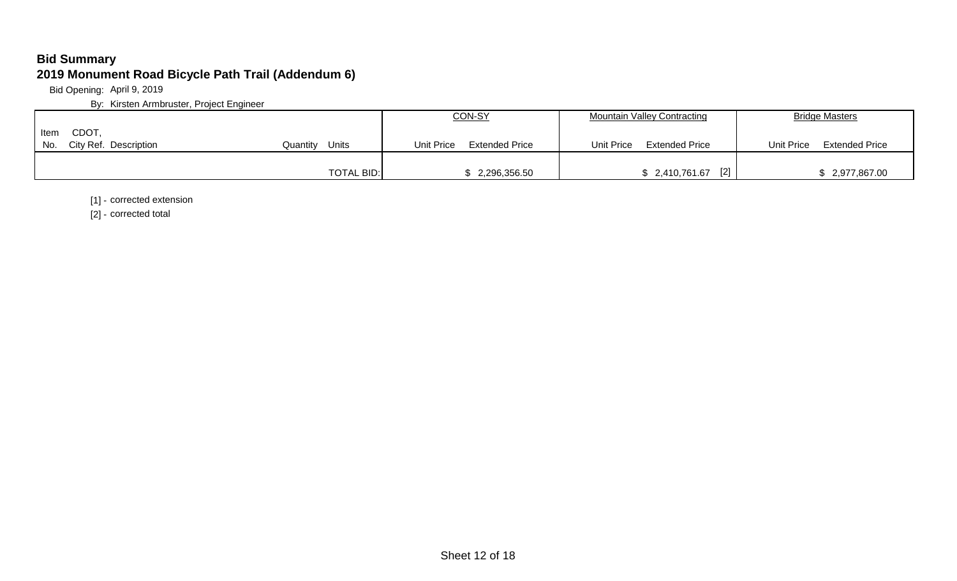Bid Opening: April 9, 2019

By: Kirsten Armbruster, Project Engineer

|                              |                   | CON-SY                       | <b>Mountain Valley Contracting</b>  | <b>Bridge Masters</b>               |
|------------------------------|-------------------|------------------------------|-------------------------------------|-------------------------------------|
| <b>CDOT</b><br>Item          |                   |                              |                                     |                                     |
| No.<br>City Ref. Description | Units<br>Quantitv | Extended Price<br>Unit Price | Unit Price<br><b>Extended Price</b> | <b>Extended Price</b><br>Unit Price |
|                              |                   |                              |                                     |                                     |
|                              | <b>TOTAL BID:</b> | \$2,296,356.50               | $[2]$<br>\$2,410,761.67             | \$2,977,867.00                      |

[1] - corrected extension

[2] - corrected total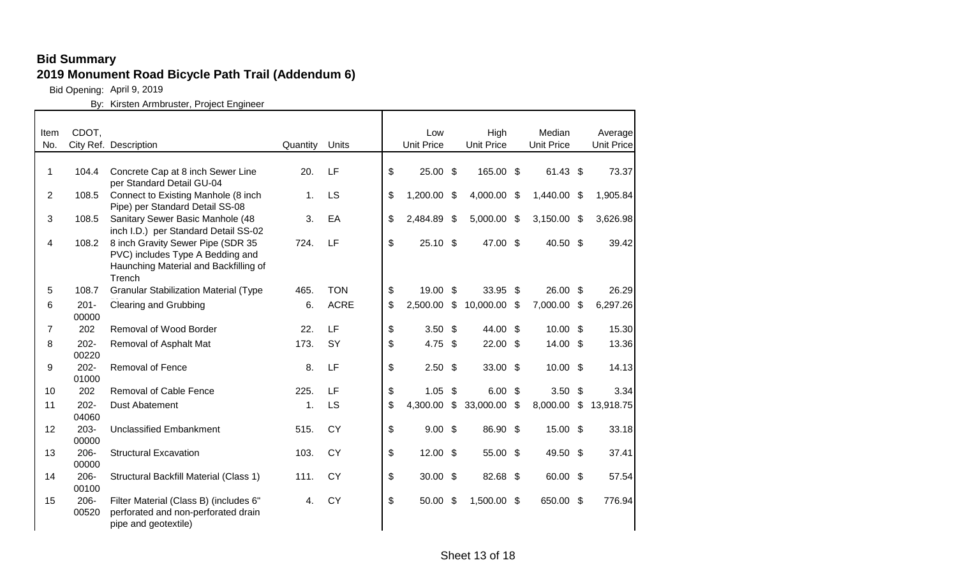Bid Opening: April 9, 2019

| Item | CDOT,            |                                                                                                                          |          |             | Low                       |                | High              |     | Median            |     | Average           |
|------|------------------|--------------------------------------------------------------------------------------------------------------------------|----------|-------------|---------------------------|----------------|-------------------|-----|-------------------|-----|-------------------|
| No.  |                  | City Ref. Description                                                                                                    | Quantity | Units       | <b>Unit Price</b>         |                | <b>Unit Price</b> |     | <b>Unit Price</b> |     | <b>Unit Price</b> |
| 1    | 104.4            | Concrete Cap at 8 inch Sewer Line<br>per Standard Detail GU-04                                                           | 20.      | LF          | \$<br>$25.00$ \$          |                | 165.00 \$         |     | 61.43 \$          |     | 73.37             |
| 2    | 108.5            | Connect to Existing Manhole (8 inch<br>Pipe) per Standard Detail SS-08                                                   | 1.       | LS          | \$<br>1,200.00            | - \$           | 4,000.00          | -\$ | 1,440.00          | -\$ | 1,905.84          |
| 3    | 108.5            | Sanitary Sewer Basic Manhole (48<br>inch I.D.) per Standard Detail SS-02                                                 | 3.       | EA          | \$<br>2,484.89            | \$             | 5,000.00 \$       |     | 3,150.00          | -\$ | 3,626.98          |
| 4    | 108.2            | 8 inch Gravity Sewer Pipe (SDR 35<br>PVC) includes Type A Bedding and<br>Haunching Material and Backfilling of<br>Trench | 724.     | LF          | \$<br>$25.10$ \$          |                | 47.00 \$          |     | 40.50 \$          |     | 39.42             |
| 5    | 108.7            | <b>Granular Stabilization Material (Type</b>                                                                             | 465.     | <b>TON</b>  | \$<br>19.00 \$            |                | 33.95 \$          |     | 26.00 \$          |     | 26.29             |
| 6    | $201 -$<br>00000 | <b>Clearing and Grubbing</b>                                                                                             | 6.       | <b>ACRE</b> | \$<br>2,500.00            | $\mathfrak{S}$ | 10,000.00         | -\$ | 7,000.00          | \$  | 6,297.26          |
| 7    | 202              | Removal of Wood Border                                                                                                   | 22.      | LF          | \$<br>$3.50$ \$           |                | 44.00 \$          |     | $10.00$ \$        |     | 15.30             |
| 8    | $202 -$<br>00220 | Removal of Asphalt Mat                                                                                                   | 173.     | <b>SY</b>   | \$<br>4.75 $$$            |                | 22.00 \$          |     | 14.00 \$          |     | 13.36             |
| 9    | $202 -$<br>01000 | <b>Removal of Fence</b>                                                                                                  | 8.       | LF          | \$<br>$2.50$ \$           |                | $33.00$ \$        |     | $10.00$ \$        |     | 14.13             |
| 10   | 202              | <b>Removal of Cable Fence</b>                                                                                            | 225.     | LF          | \$<br>$1.05$ \$           |                | $6.00$ \$         |     | 3.50              | \$  | 3.34              |
| 11   | $202 -$<br>04060 | <b>Dust Abatement</b>                                                                                                    | 1.       | LS          | \$<br>4,300.00            | $\mathfrak{P}$ | 33,000.00         | \$  | 8,000.00          | \$  | 13,918.75         |
| 12   | $203 -$<br>00000 | <b>Unclassified Embankment</b>                                                                                           | 515.     | <b>CY</b>   | \$<br>$9.00 \text{ } $$   |                | 86.90 \$          |     | 15.00 \$          |     | 33.18             |
| 13   | $206 -$<br>00000 | <b>Structural Excavation</b>                                                                                             | 103.     | <b>CY</b>   | \$<br>$12.00$ \$          |                | 55.00 \$          |     | 49.50 \$          |     | 37.41             |
| 14   | $206 -$<br>00100 | Structural Backfill Material (Class 1)                                                                                   | 111.     | <b>CY</b>   | \$<br>$30.00 \text{ }$ \$ |                | 82.68 \$          |     | 60.00 \$          |     | 57.54             |
| 15   | 206-<br>00520    | Filter Material (Class B) (includes 6"<br>perforated and non-perforated drain<br>pipe and geotextile)                    | 4.       | <b>CY</b>   | \$<br>50.00               | \$             | 1,500.00 \$       |     | 650.00 \$         |     | 776.94            |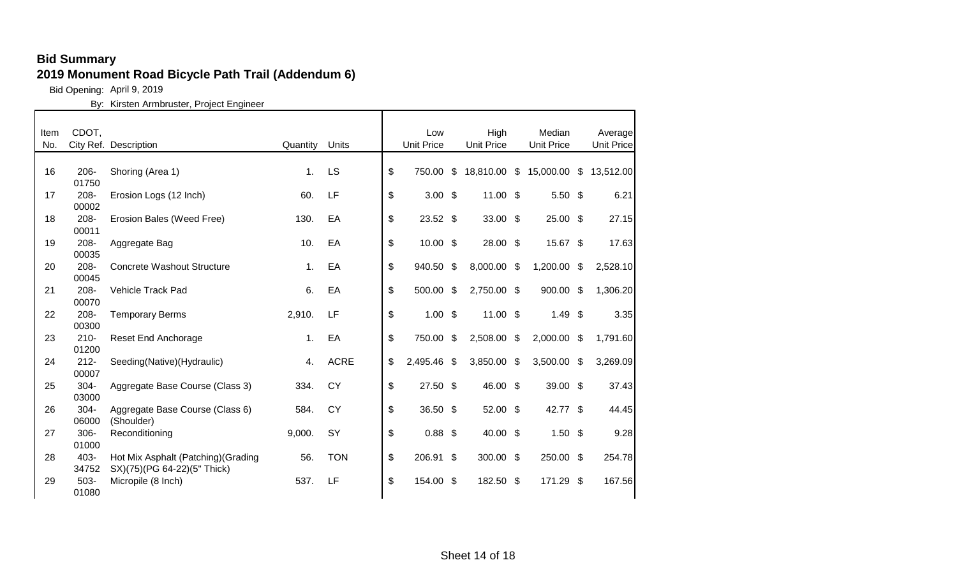Bid Opening: April 9, 2019

| Item | CDOT,            |                                     |                |             | Low               |                    | High              |                           | Median            |      | Average     |
|------|------------------|-------------------------------------|----------------|-------------|-------------------|--------------------|-------------------|---------------------------|-------------------|------|-------------|
| No.  |                  | City Ref. Description               | Quantity       | Units       | <b>Unit Price</b> |                    | <b>Unit Price</b> |                           | <b>Unit Price</b> |      | Unit Price  |
|      |                  |                                     |                |             |                   |                    |                   |                           |                   |      |             |
| 16   | $206 -$          | Shoring (Area 1)                    | $\mathbf{1}$ . | LS          | \$<br>750.00      | $\mathfrak{L}$     | 18,810.00         | $\boldsymbol{\mathsf{S}}$ | 15,000.00         |      | \$13,512.00 |
|      | 01750            |                                     |                |             |                   |                    |                   |                           |                   |      |             |
| 17   | $208 -$          | Erosion Logs (12 Inch)              | 60.            | LF          | \$<br>$3.00$ \$   |                    | $11.00$ \$        |                           | $5.50$ \$         |      | 6.21        |
|      | 00002            |                                     |                |             |                   |                    |                   |                           |                   |      |             |
| 18   | 208-             | Erosion Bales (Weed Free)           | 130.           | EA          | \$<br>$23.52$ \$  |                    | $33.00$ \$        |                           | 25.00             | - \$ | 27.15       |
|      | 00011            |                                     |                |             |                   |                    |                   |                           |                   |      |             |
| 19   | 208-             | Aggregate Bag                       | 10.            | EA          | \$<br>$10.00$ \$  |                    | 28.00 \$          |                           | 15.67 \$          |      | 17.63       |
|      | 00035            |                                     |                |             |                   |                    |                   |                           |                   |      |             |
| 20   | 208-             | <b>Concrete Washout Structure</b>   | 1.             | EA          | \$<br>940.50 \$   |                    | 8,000.00          | -\$                       | 1,200.00          | \$   | 2,528.10    |
|      | 00045            |                                     |                |             |                   |                    |                   |                           |                   |      |             |
| 21   | 208-             | Vehicle Track Pad                   | 6.             | EA          | \$<br>500.00      | \$                 | 2,750.00 \$       |                           | 900.00            | \$   | 1,306.20    |
|      | 00070            |                                     |                |             |                   |                    |                   |                           |                   |      |             |
| 22   | 208-             | <b>Temporary Berms</b>              | 2,910.         | LF          | \$<br>$1.00$ \$   |                    | $11.00$ \$        |                           | 1.49              | -\$  | 3.35        |
|      | 00300            |                                     |                |             |                   |                    |                   |                           |                   |      |             |
| 23   | $210 -$          | <b>Reset End Anchorage</b>          | 1.             | EA          | \$<br>750.00 \$   |                    | 2,508.00          | \$                        | 2,000.00 \$       |      | 1,791.60    |
|      | 01200            |                                     |                |             |                   |                    |                   |                           |                   |      |             |
| 24   | $212 -$          | Seeding(Native)(Hydraulic)          | 4.             | <b>ACRE</b> | \$<br>2,495.46    | $\mathbf{\hat{S}}$ | 3,850.00          | \$                        | 3,500.00          | \$   | 3,269.09    |
|      | 00007            |                                     |                |             |                   |                    |                   |                           |                   |      |             |
| 25   | $304 -$          | Aggregate Base Course (Class 3)     | 334.           | <b>CY</b>   | \$<br>27.50 \$    |                    | 46.00 \$          |                           | 39.00 \$          |      | 37.43       |
|      | 03000            |                                     |                |             |                   |                    |                   |                           |                   |      |             |
| 26   | $304 -$          | Aggregate Base Course (Class 6)     | 584.           | <b>CY</b>   | \$<br>36.50 \$    |                    | 52.00 \$          |                           | 42.77 \$          |      | 44.45       |
|      | 06000            | (Shoulder)                          |                |             |                   |                    |                   |                           |                   |      |             |
| 27   | $306 -$<br>01000 | Reconditioning                      | 9,000.         | SY          | \$<br>$0.88$ \$   |                    | 40.00 \$          |                           | $1.50$ \$         |      | 9.28        |
|      |                  |                                     |                |             |                   |                    |                   |                           |                   |      |             |
| 28   | 403-<br>34752    | Hot Mix Asphalt (Patching) (Grading | 56.            | <b>TON</b>  | \$<br>206.91 \$   |                    | 300.00 \$         |                           | 250.00 \$         |      | 254.78      |
|      | 503-             | SX)(75)(PG 64-22)(5" Thick)         | 537.           | LF          | \$<br>154.00 \$   |                    | 182.50            |                           | 171.29            |      | 167.56      |
| 29   | 01080            | Micropile (8 Inch)                  |                |             |                   |                    |                   | -\$                       |                   | \$   |             |
|      |                  |                                     |                |             |                   |                    |                   |                           |                   |      |             |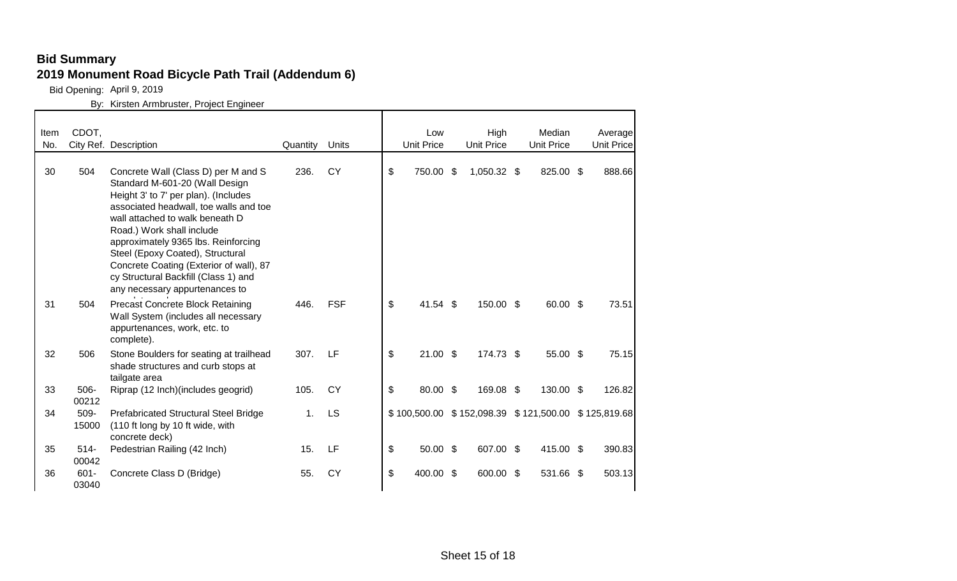Bid Opening: April 9, 2019

| Item<br>No. | CDOT,            | City Ref. Description                                                                                                                                                                                                                                                                                                                                                                                                   | Quantity       | Units      |                           | Low<br><b>Unit Price</b>                            | High<br><b>Unit Price</b> | Median<br><b>Unit Price</b> | Average<br>Unit Price |
|-------------|------------------|-------------------------------------------------------------------------------------------------------------------------------------------------------------------------------------------------------------------------------------------------------------------------------------------------------------------------------------------------------------------------------------------------------------------------|----------------|------------|---------------------------|-----------------------------------------------------|---------------------------|-----------------------------|-----------------------|
| 30          | 504              | Concrete Wall (Class D) per M and S<br>Standard M-601-20 (Wall Design<br>Height 3' to 7' per plan). (Includes<br>associated headwall, toe walls and toe<br>wall attached to walk beneath D<br>Road.) Work shall include<br>approximately 9365 lbs. Reinforcing<br>Steel (Epoxy Coated), Structural<br>Concrete Coating (Exterior of wall), 87<br>cy Structural Backfill (Class 1) and<br>any necessary appurtenances to | 236.           | <b>CY</b>  | \$                        | 750.00 \$                                           | 1,050.32 \$               | 825.00 \$                   | 888.66                |
| 31          | 504              | <b>Precast Concrete Block Retaining</b><br>Wall System (includes all necessary<br>appurtenances, work, etc. to<br>complete).                                                                                                                                                                                                                                                                                            | 446.           | <b>FSF</b> | $\boldsymbol{\mathsf{S}}$ | 41.54 \$                                            | 150.00 \$                 | 60.00 \$                    | 73.51                 |
| 32          | 506              | Stone Boulders for seating at trailhead<br>shade structures and curb stops at<br>tailgate area                                                                                                                                                                                                                                                                                                                          | 307.           | LF         | \$                        | $21.00$ \$                                          | 174.73 \$                 | 55.00 \$                    | 75.15                 |
| 33          | 506-<br>00212    | Riprap (12 Inch) (includes geogrid)                                                                                                                                                                                                                                                                                                                                                                                     | 105.           | <b>CY</b>  | \$                        | 80.00 \$                                            | 169.08 \$                 | 130.00 \$                   | 126.82                |
| 34          | 509-<br>15000    | Prefabricated Structural Steel Bridge<br>(110 ft long by 10 ft wide, with<br>concrete deck)                                                                                                                                                                                                                                                                                                                             | 1 <sub>1</sub> | LS         |                           | \$100,500.00 \$152,098.39 \$121,500.00 \$125,819.68 |                           |                             |                       |
| 35          | $514 -$<br>00042 | Pedestrian Railing (42 Inch)                                                                                                                                                                                                                                                                                                                                                                                            | 15.            | LF         | \$                        | $50.00$ \$                                          | 607.00 \$                 | 415.00 \$                   | 390.83                |
| 36          | $601 -$<br>03040 | Concrete Class D (Bridge)                                                                                                                                                                                                                                                                                                                                                                                               | 55.            | <b>CY</b>  | \$                        | 400.00 \$                                           | 600.00 \$                 | 531.66 \$                   | 503.13                |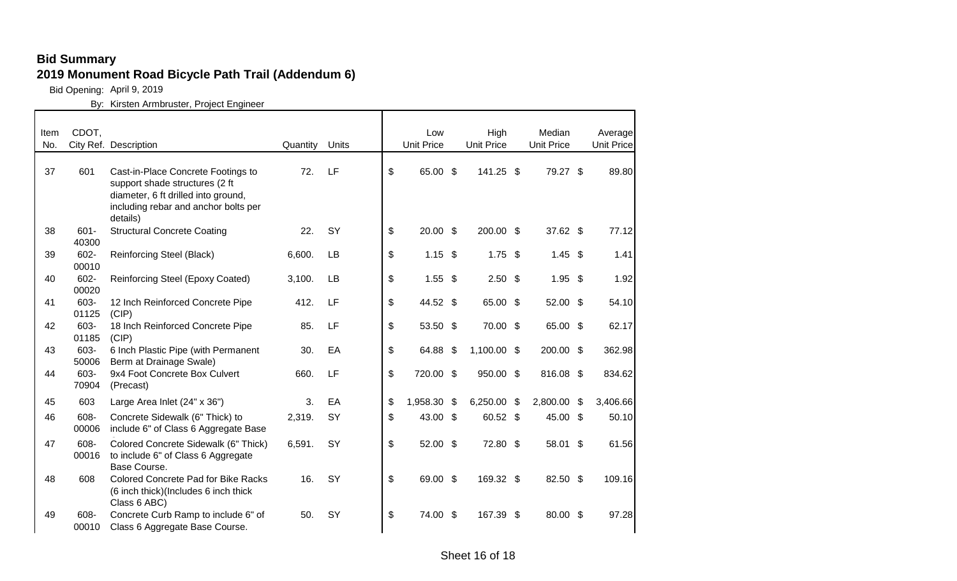Bid Opening: April 9, 2019

| Item | CDOT,            |                                                                                                                                                                 |          |       | Low               |     | High              |     | Median            |      | Average           |
|------|------------------|-----------------------------------------------------------------------------------------------------------------------------------------------------------------|----------|-------|-------------------|-----|-------------------|-----|-------------------|------|-------------------|
| No.  |                  | City Ref. Description                                                                                                                                           | Quantity | Units | <b>Unit Price</b> |     | <b>Unit Price</b> |     | <b>Unit Price</b> |      | <b>Unit Price</b> |
| 37   | 601              | Cast-in-Place Concrete Footings to<br>support shade structures (2 ft<br>diameter, 6 ft drilled into ground,<br>including rebar and anchor bolts per<br>details) | 72.      | LF    | \$<br>65.00 \$    |     | 141.25 \$         |     | 79.27 \$          |      | 89.80             |
| 38   | $601 -$<br>40300 | <b>Structural Concrete Coating</b>                                                                                                                              | 22.      | SY    | \$<br>$20.00$ \$  |     | 200.00 \$         |     | 37.62 \$          |      | 77.12             |
| 39   | 602-<br>00010    | Reinforcing Steel (Black)                                                                                                                                       | 6,600.   | LB    | \$<br>$1.15$ \$   |     | $1.75$ \$         |     | $1.45$ \$         |      | 1.41              |
| 40   | 602-<br>00020    | Reinforcing Steel (Epoxy Coated)                                                                                                                                | 3,100.   | LB    | \$<br>$1.55$ \$   |     | $2.50$ \$         |     | $1.95$ \$         |      | 1.92              |
| 41   | 603-<br>01125    | 12 Inch Reinforced Concrete Pipe<br>(CIP)                                                                                                                       | 412.     | LF    | \$<br>44.52 \$    |     | 65.00 \$          |     | 52.00 \$          |      | 54.10             |
| 42   | 603-<br>01185    | 18 Inch Reinforced Concrete Pipe<br>(CIP)                                                                                                                       | 85.      | LF    | \$<br>53.50 \$    |     | 70.00 \$          |     | 65.00 \$          |      | 62.17             |
| 43   | 603-<br>50006    | 6 Inch Plastic Pipe (with Permanent<br>Berm at Drainage Swale)                                                                                                  | 30.      | EA    | \$<br>64.88 \$    |     | 1,100.00 \$       |     | 200.00 \$         |      | 362.98            |
| 44   | 603-<br>70904    | 9x4 Foot Concrete Box Culvert<br>(Precast)                                                                                                                      | 660.     | LF    | \$<br>720.00 \$   |     | 950.00 \$         |     | 816.08 \$         |      | 834.62            |
| 45   | 603              | Large Area Inlet (24" x 36")                                                                                                                                    | 3.       | EA    | \$<br>1,958.30    | -\$ | 6,250.00          | -\$ | 2,800.00          | - \$ | 3,406.66          |
| 46   | 608-<br>00006    | Concrete Sidewalk (6" Thick) to<br>include 6" of Class 6 Aggregate Base                                                                                         | 2,319.   | SY    | \$<br>43.00 \$    |     | 60.52 \$          |     | 45.00 \$          |      | 50.10             |
| 47   | 608-<br>00016    | Colored Concrete Sidewalk (6" Thick)<br>to include 6" of Class 6 Aggregate<br>Base Course.                                                                      | 6,591.   | SY    | \$<br>52.00 \$    |     | 72.80 \$          |     | 58.01 \$          |      | 61.56             |
| 48   | 608              | <b>Colored Concrete Pad for Bike Racks</b><br>(6 inch thick) (Includes 6 inch thick<br>Class 6 ABC)                                                             | 16.      | SY    | \$<br>69.00 \$    |     | 169.32 \$         |     | 82.50 \$          |      | 109.16            |
| 49   | 608-<br>00010    | Concrete Curb Ramp to include 6" of<br>Class 6 Aggregate Base Course.                                                                                           | 50.      | SY    | \$<br>74.00 \$    |     | 167.39            | -\$ | 80.00 \$          |      | 97.28             |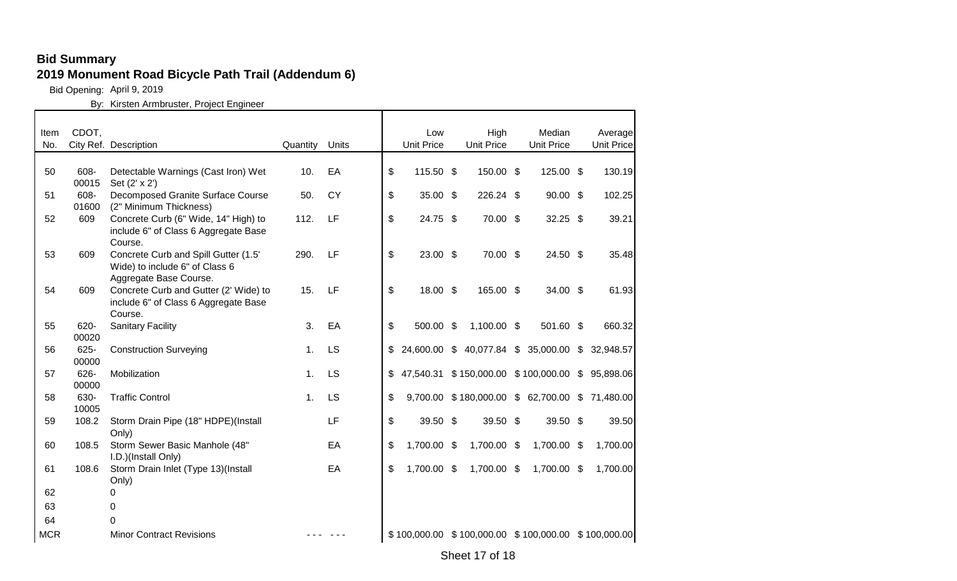Bid Opening: April 9, 2019

| Item<br>No. | CDOT,         | City Ref. Description                                                                            | Quantity       | <b>Units</b> | Low<br><b>Unit Price</b> | High<br><b>Unit Price</b> | Median<br><b>Unit Price</b>                         | Average<br><b>Unit Price</b> |
|-------------|---------------|--------------------------------------------------------------------------------------------------|----------------|--------------|--------------------------|---------------------------|-----------------------------------------------------|------------------------------|
|             |               |                                                                                                  |                |              |                          |                           |                                                     |                              |
| 50          | 608-<br>00015 | Detectable Warnings (Cast Iron) Wet<br>Set (2' x 2')                                             | 10.            | EA           | \$<br>115.50 \$          | 150.00 \$                 | 125.00 \$                                           | 130.19                       |
| 51          | 608-<br>01600 | Decomposed Granite Surface Course<br>(2" Minimum Thickness)                                      | 50.            | <b>CY</b>    | \$<br>35.00 \$           | 226.24 \$                 | $90.00$ \$                                          | 102.25                       |
| 52          | 609           | Concrete Curb (6" Wide, 14" High) to<br>include 6" of Class 6 Aggregate Base<br>Course.          | 112.           | LF           | \$<br>24.75 \$           | 70.00 \$                  | $32.25$ \$                                          | 39.21                        |
| 53          | 609           | Concrete Curb and Spill Gutter (1.5'<br>Wide) to include 6" of Class 6<br>Aggregate Base Course. | 290.           | LF           | \$<br>23.00 \$           | 70.00 \$                  | 24.50 \$                                            | 35.48                        |
| 54          | 609           | Concrete Curb and Gutter (2' Wide) to<br>include 6" of Class 6 Aggregate Base<br>Course.         | 15.            | LF           | \$<br>18.00 \$           | 165.00 \$                 | 34.00 \$                                            | 61.93                        |
| 55          | 620-<br>00020 | <b>Sanitary Facility</b>                                                                         | 3.             | EA           | \$<br>500.00 \$          | $1,100.00$ \$             | 501.60 \$                                           | 660.32                       |
| 56          | 625-<br>00000 | <b>Construction Surveying</b>                                                                    | 1 <sub>1</sub> | LS           | \$                       |                           | 24,600.00 \$ 40,077.84 \$ 35,000.00                 | \$32,948.57                  |
| 57          | 626-<br>00000 | Mobilization                                                                                     | 1 <sub>1</sub> | <b>LS</b>    | \$                       |                           | 47,540.31 \$150,000.00 \$100,000.00 \$              | 95,898.06                    |
| 58          | 630-<br>10005 | <b>Traffic Control</b>                                                                           | 1 <sub>1</sub> | <b>LS</b>    | \$                       |                           | 9,700.00 \$180,000.00 \$62,700.00 \$71,480.00       |                              |
| 59          | 108.2         | Storm Drain Pipe (18" HDPE)(Install<br>Only)                                                     |                | LF           | \$<br>39.50 \$           | 39.50 \$                  | 39.50 \$                                            | 39.50                        |
| 60          | 108.5         | Storm Sewer Basic Manhole (48"<br>I.D.)(Install Only)                                            |                | EA           | \$<br>1,700.00 \$        | 1,700.00 \$               | 1,700.00 \$                                         | 1,700.00                     |
| 61          | 108.6         | Storm Drain Inlet (Type 13)(Install<br>Only)                                                     |                | EA           | \$<br>1,700.00 \$        | 1,700.00 \$               | 1,700.00 \$                                         | 1,700.00                     |
| 62          |               | 0                                                                                                |                |              |                          |                           |                                                     |                              |
| 63          |               | 0                                                                                                |                |              |                          |                           |                                                     |                              |
| 64          |               | 0                                                                                                |                |              |                          |                           |                                                     |                              |
| <b>MCR</b>  |               | <b>Minor Contract Revisions</b>                                                                  |                |              |                          |                           | \$100,000.00 \$100,000.00 \$100,000.00 \$100,000.00 |                              |